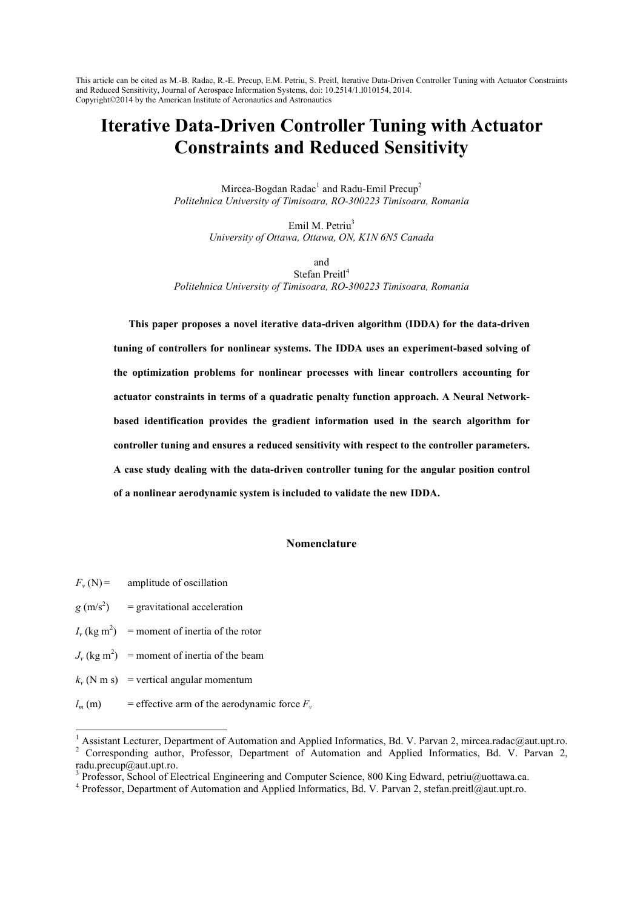# **Iterative Data-Driven Controller Tuning with Actuator Constraints and Reduced Sensitivity**

Mircea-Bogdan Radac<sup>1</sup> and Radu-Emil Precup<sup>2</sup> *Politehnica University of Timisoara, RO-300223 Timisoara, Romania* 

> Emil M. Petriu<sup>3</sup> *University of Ottawa, Ottawa, ON, K1N 6N5 Canada*

and Stefan Preitl<sup>4</sup> *Politehnica University of Timisoara, RO-300223 Timisoara, Romania* 

**This paper proposes a novel iterative data-driven algorithm (IDDA) for the data-driven tuning of controllers for nonlinear systems. The IDDA uses an experiment-based solving of the optimization problems for nonlinear processes with linear controllers accounting for**  actuator constraints in terms of a quadratic penalty function approach. A Neural Network**based identification provides the gradient information used in the search algorithm for controller tuning and ensures a reduced sensitivity with respect to the controller parameters. A case study dealing with the data-driven controller tuning for the angular position control of a nonlinear aerodynamic system is included to validate the new IDDA.** 

## **%omenclature**

 $F_v(N)$  = amplitude of oscillation  $g (m/s^2)$ ) = gravitational acceleration  $I_v$  (kg m<sup>2</sup>) = moment of inertia of the rotor  $J_v$  (kg m<sup>2</sup>) = moment of inertia of the beam  $k_v$  (N m s) = vertical angular momentum  $l_m$  (m) = effective arm of the aerodynamic force  $F_v$ 

-

<sup>&</sup>lt;sup>1</sup> Assistant Lecturer, Department of Automation and Applied Informatics, Bd. V. Parvan 2, mircea.radac@aut.upt.ro. <sup>2</sup> Corresponding author, Professor, Department of Automation and Applied Informatics, Bd. V. Parvan 2, radu.precup@aut.upt.ro.

<sup>&</sup>lt;sup>3</sup> Professor, School of Electrical Engineering and Computer Science, 800 King Edward, petriu@uottawa.ca.

<sup>&</sup>lt;sup>4</sup> Professor, Department of Automation and Applied Informatics, Bd. V. Parvan 2, stefan.preitl@aut.upt.ro.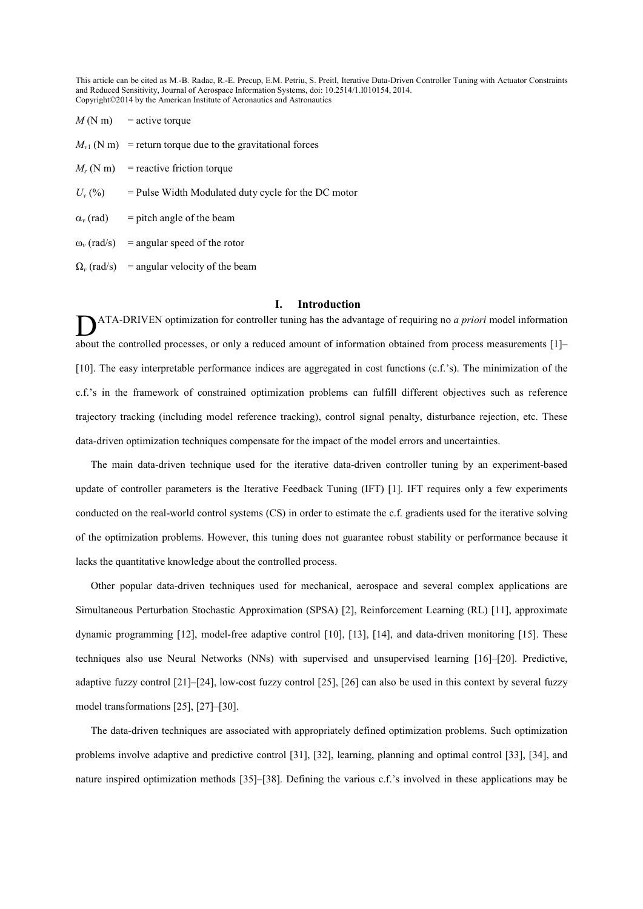$M(N \text{ m})$  = active torque

- $M_{\nu1}$  (N m) = return torque due to the gravitational forces
- $M_r$  (N m) = reactive friction torque
- $U_{\nu}$  (%)  $=$  Pulse Width Modulated duty cycle for the DC motor
- $\alpha$ <sup>*v*</sup> (rad)  $=$  pitch angle of the beam
- $\omega$ <sub>*v*</sub> (rad/s) = angular speed of the rotor
- $\Omega_{\nu}$  (rad/s) = angular velocity of the beam

# **I. Introduction**

ATA-DRIVEN optimization for controller tuning has the advantage of requiring no *a priori* model information **ATA-DRIVEN** optimization for controller tuning has the advantage of requiring no *a priori* model information about the controlled processes, or only a reduced amount of information obtained from process measurements [1]– [10]. The easy interpretable performance indices are aggregated in cost functions (c.f.'s). The minimization of the c.f.'s in the framework of constrained optimization problems can fulfill different objectives such as reference trajectory tracking (including model reference tracking), control signal penalty, disturbance rejection, etc. These data-driven optimization techniques compensate for the impact of the model errors and uncertainties.

The main data-driven technique used for the iterative data-driven controller tuning by an experiment-based update of controller parameters is the Iterative Feedback Tuning (IFT) [1]. IFT requires only a few experiments conducted on the real-world control systems (CS) in order to estimate the c.f. gradients used for the iterative solving of the optimization problems. However, this tuning does not guarantee robust stability or performance because it lacks the quantitative knowledge about the controlled process.

Other popular data-driven techniques used for mechanical, aerospace and several complex applications are Simultaneous Perturbation Stochastic Approximation (SPSA) [2], Reinforcement Learning (RL) [11], approximate dynamic programming [12], model-free adaptive control [10], [13], [14], and data-driven monitoring [15]. These techniques also use Neural Networks (NNs) with supervised and unsupervised learning [16]–[20]. Predictive, adaptive fuzzy control [21]–[24], low-cost fuzzy control [25], [26] can also be used in this context by several fuzzy model transformations [25], [27]–[30].

The data-driven techniques are associated with appropriately defined optimization problems. Such optimization problems involve adaptive and predictive control [31], [32], learning, planning and optimal control [33], [34], and nature inspired optimization methods [35]–[38]. Defining the various c.f.'s involved in these applications may be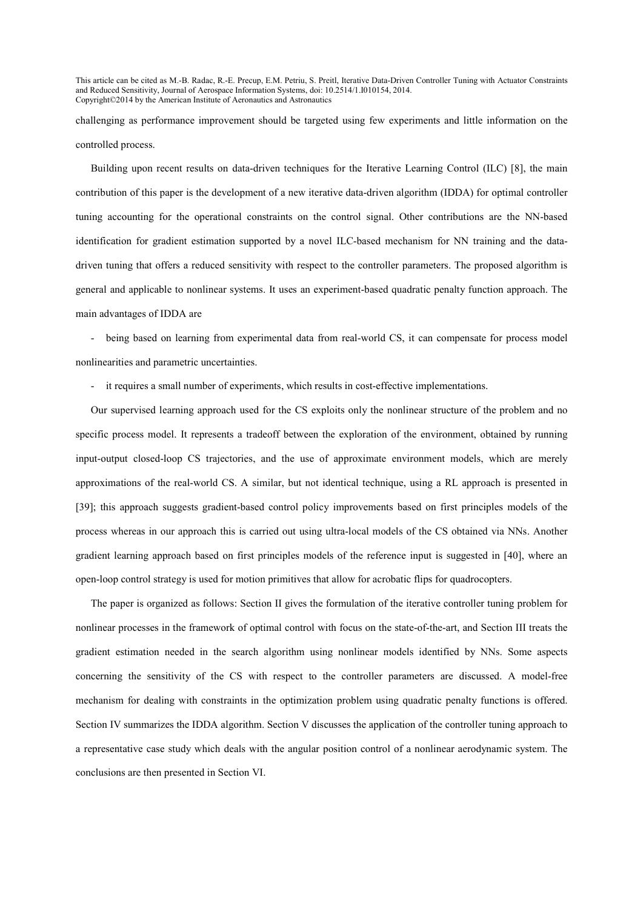challenging as performance improvement should be targeted using few experiments and little information on the controlled process.

Building upon recent results on data-driven techniques for the Iterative Learning Control (ILC) [8], the main contribution of this paper is the development of a new iterative data-driven algorithm (IDDA) for optimal controller tuning accounting for the operational constraints on the control signal. Other contributions are the NN-based identification for gradient estimation supported by a novel ILC-based mechanism for NN training and the datadriven tuning that offers a reduced sensitivity with respect to the controller parameters. The proposed algorithm is general and applicable to nonlinear systems. It uses an experiment-based quadratic penalty function approach. The main advantages of IDDA are

being based on learning from experimental data from real-world CS, it can compensate for process model nonlinearities and parametric uncertainties.

- it requires a small number of experiments, which results in cost-effective implementations.

Our supervised learning approach used for the CS exploits only the nonlinear structure of the problem and no specific process model. It represents a tradeoff between the exploration of the environment, obtained by running input-output closed-loop CS trajectories, and the use of approximate environment models, which are merely approximations of the real-world CS. A similar, but not identical technique, using a RL approach is presented in [39]; this approach suggests gradient-based control policy improvements based on first principles models of the process whereas in our approach this is carried out using ultra-local models of the CS obtained via NNs. Another gradient learning approach based on first principles models of the reference input is suggested in [40], where an open-loop control strategy is used for motion primitives that allow for acrobatic flips for quadrocopters.

The paper is organized as follows: Section II gives the formulation of the iterative controller tuning problem for nonlinear processes in the framework of optimal control with focus on the state-of-the-art, and Section III treats the gradient estimation needed in the search algorithm using nonlinear models identified by NNs. Some aspects concerning the sensitivity of the CS with respect to the controller parameters are discussed. A model-free mechanism for dealing with constraints in the optimization problem using quadratic penalty functions is offered. Section IV summarizes the IDDA algorithm. Section V discusses the application of the controller tuning approach to a representative case study which deals with the angular position control of a nonlinear aerodynamic system. The conclusions are then presented in Section VI.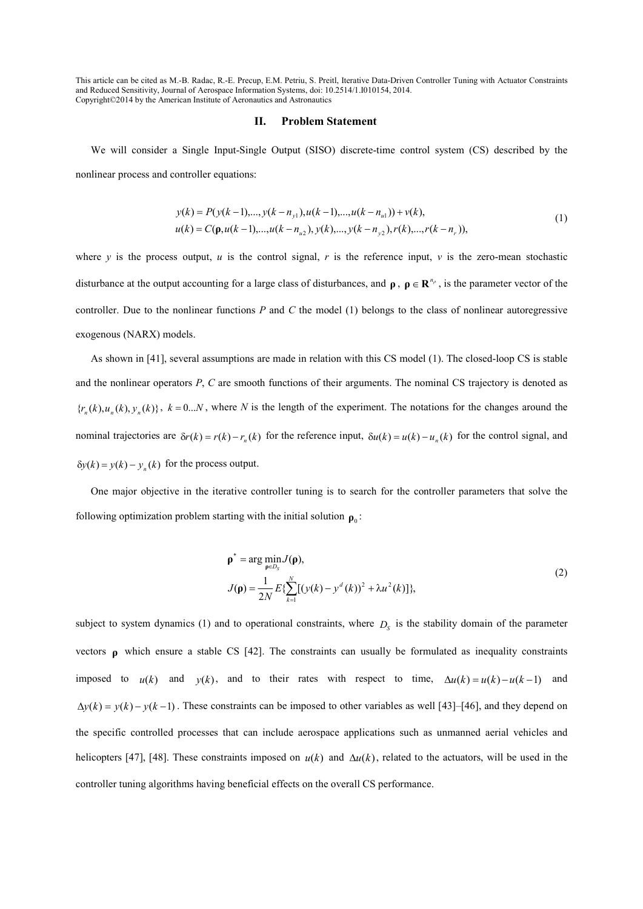#### **II. Problem Statement**

We will consider a Single Input-Single Output (SISO) discrete-time control system (CS) described by the nonlinear process and controller equations:

$$
y(k) = P(y(k-1),...,y(k-n_{y1}),u(k-1),...,u(k-n_{u1})) + v(k),
$$
  
\n
$$
u(k) = C(\mathbf{p}, u(k-1),...,u(k-n_{u2}), y(k),...,y(k-n_{y2}), r(k),...,r(k-n_{r})),
$$
\n(1)

where *y* is the process output, *u* is the control signal, *r* is the reference input, *v* is the zero-mean stochastic disturbance at the output accounting for a large class of disturbances, and  $\rho$ ,  $\rho \in \mathbb{R}^{n_p}$ , is the parameter vector of the controller. Due to the nonlinear functions *P* and *C* the model (1) belongs to the class of nonlinear autoregressive exogenous (NARX) models.

As shown in [41], several assumptions are made in relation with this CS model (1). The closed-loop CS is stable and the nonlinear operators *P*, *C* are smooth functions of their arguments. The nominal CS trajectory is denoted as  ${r_n(k), u_n(k), y_n(k)}$ ,  $k = 0...N$ , where N is the length of the experiment. The notations for the changes around the nominal trajectories are  $\delta r(k) = r(k) - r_n(k)$  for the reference input,  $\delta u(k) = u(k) - u_n(k)$  for the control signal, and  $\delta y(k) = y(k) - y_n(k)$  for the process output.

One major objective in the iterative controller tuning is to search for the controller parameters that solve the following optimization problem starting with the initial solution  $\rho_0$ :

$$
\rho^* = \arg \min_{\rho \in D_S} J(\rho),
$$
  
\n
$$
J(\rho) = \frac{1}{2N} E \{ \sum_{k=1}^N [(y(k) - y^d(k))^2 + \lambda u^2(k)] \},
$$
\n(2)

subject to system dynamics (1) and to operational constraints, where  $D<sub>S</sub>$  is the stability domain of the parameter vectors **ρ** which ensure a stable CS [42]. The constraints can usually be formulated as inequality constraints imposed to  $u(k)$  and  $y(k)$ , and to their rates with respect to time,  $\Delta u(k) = u(k) - u(k-1)$  and  $\Delta y(k) = y(k) - y(k-1)$ . These constraints can be imposed to other variables as well [43]–[46], and they depend on the specific controlled processes that can include aerospace applications such as unmanned aerial vehicles and helicopters [47], [48]. These constraints imposed on *u*(*k*) and ∆*u*(*k*), related to the actuators, will be used in the controller tuning algorithms having beneficial effects on the overall CS performance.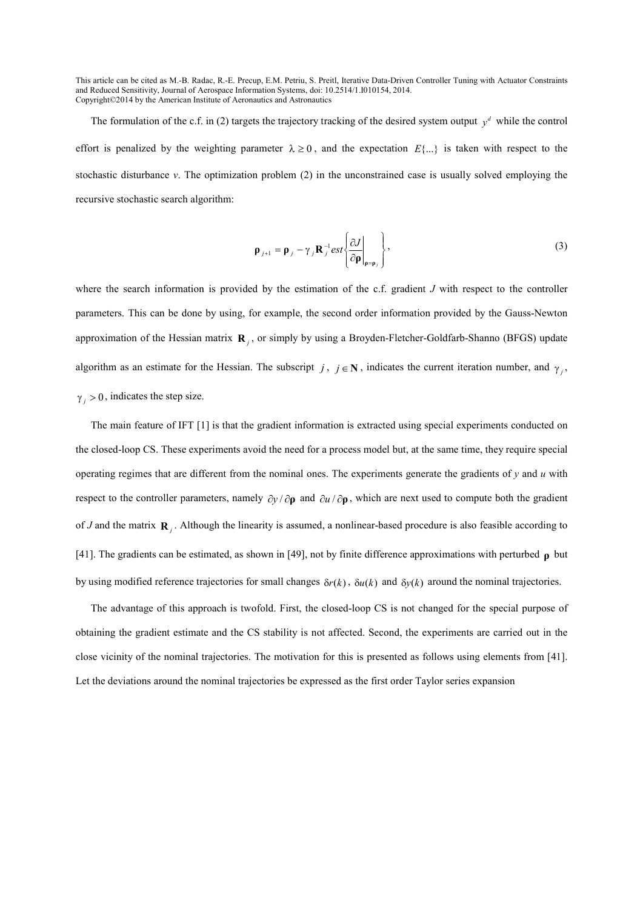The formulation of the c.f. in (2) targets the trajectory tracking of the desired system output  $y^d$  while the control effort is penalized by the weighting parameter  $\lambda \ge 0$ , and the expectation  $E\{...\}$  is taken with respect to the stochastic disturbance *v*. The optimization problem (2) in the unconstrained case is usually solved employing the recursive stochastic search algorithm:

$$
\mathbf{\rho}_{j+1} = \mathbf{\rho}_j - \gamma_j \mathbf{R}_j^{-1} \text{est} \left\{ \frac{\partial J}{\partial \mathbf{\rho}} \bigg|_{\mathbf{\rho} = \mathbf{\rho}_j} \right\},\tag{3}
$$

where the search information is provided by the estimation of the c.f. gradient *J* with respect to the controller parameters. This can be done by using, for example, the second order information provided by the Gauss-Newton approximation of the Hessian matrix  $\mathbf{R}_j$ , or simply by using a Broyden-Fletcher-Goldfarb-Shanno (BFGS) update algorithm as an estimate for the Hessian. The subscript *j*,  $j \in \mathbb{N}$ , indicates the current iteration number, and  $\gamma_j$ ,  $\gamma_i > 0$ , indicates the step size.

The main feature of IFT [1] is that the gradient information is extracted using special experiments conducted on the closed-loop CS. These experiments avoid the need for a process model but, at the same time, they require special operating regimes that are different from the nominal ones. The experiments generate the gradients of  $\gamma$  and  $\mu$  with respect to the controller parameters, namely  $\partial y / \partial \rho$  and  $\partial u / \partial \rho$ , which are next used to compute both the gradient of *J* and the matrix  $\mathbf{R}_j$ . Although the linearity is assumed, a nonlinear-based procedure is also feasible according to [41]. The gradients can be estimated, as shown in [49], not by finite difference approximations with perturbed **ρ** but by using modified reference trajectories for small changes  $\delta r(k)$ ,  $\delta u(k)$  and  $\delta v(k)$  around the nominal trajectories.

The advantage of this approach is twofold. First, the closed-loop CS is not changed for the special purpose of obtaining the gradient estimate and the CS stability is not affected. Second, the experiments are carried out in the close vicinity of the nominal trajectories. The motivation for this is presented as follows using elements from [41]. Let the deviations around the nominal trajectories be expressed as the first order Taylor series expansion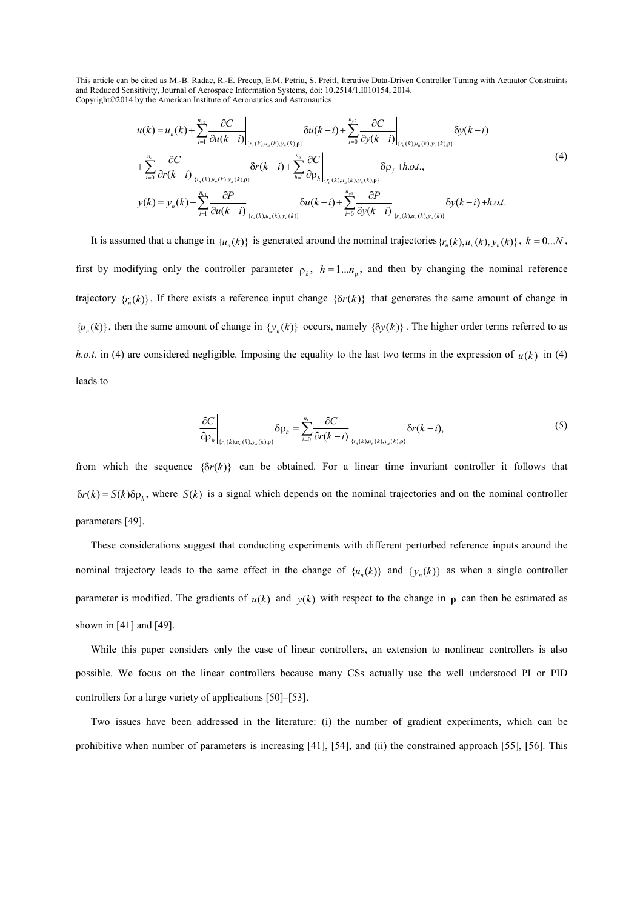$$
u(k) = u_n(k) + \sum_{i=1}^{n_{u_2}} \frac{\partial C}{\partial u(k-i)}\Big|_{\{r_n(k), u_n(k), y_n(k), \rho\}} \delta u(k-i) + \sum_{i=0}^{n_{v_2}} \frac{\partial C}{\partial y(k-i)}\Big|_{\{r_n(k), u_n(k), y_n(k), \rho\}} \delta y(k-i) + \sum_{i=0}^{n_{e}} \frac{\partial C}{\partial r(k-i)}\Big|_{\{r_n(k), u_n(k), y_n(k), \rho\}} \delta y(k-i) + \sum_{i=1}^{n_{e}} \frac{\partial C}{\partial r(k-i)}\Big|_{\{r_n(k), u_n(k), y_n(k), \rho\}} \delta \rho_j + h.o.t.,
$$
\n
$$
y(k) = y_n(k) + \sum_{i=1}^{n_{u_1}} \frac{\partial P}{\partial u(k-i)}\Big|_{\{r_n(k), u_n(k), y_n(k)\}} \delta u(k-i) + \sum_{i=0}^{n_{v_1}} \frac{\partial P}{\partial y(k-i)}\Big|_{\{r_n(k), u_n(k), y_n(k)\}} \delta y(k-i) + h.o.t.
$$
\n(4)

It is assumed that a change in  $\{u_n(k)\}$  is generated around the nominal trajectories  $\{r_n(k), u_n(k), y_n(k)\}$ ,  $k = 0...N$ , first by modifying only the controller parameter  $\rho_h$ ,  $h = 1...n_\rho$ , and then by changing the nominal reference trajectory  $\{r_n(k)\}\$ . If there exists a reference input change  $\{\delta r(k)\}\$  that generates the same amount of change in  $\{u_n(k)\}\$ , then the same amount of change in  $\{y_n(k)\}\$  occurs, namely  $\{\delta y(k)\}\$ . The higher order terms referred to as *h.o.t.* in (4) are considered negligible. Imposing the equality to the last two terms in the expression of  $u(k)$  in (4) leads to

$$
\left.\frac{\partial C}{\partial \rho_h}\right|_{\{r_n(k), u_n(k), y_n(k), \mathbf{p}\}} \delta \rho_h = \sum_{i=0}^{n_r} \left.\frac{\partial C}{\partial r(k-i)}\right|_{\{r_n(k), u_n(k), y_n(k), \mathbf{p}\}} \delta r(k-i),\tag{5}
$$

from which the sequence  $\{\delta r(k)\}$  can be obtained. For a linear time invariant controller it follows that  $\delta r(k) = S(k)\delta\rho_h$ , where  $S(k)$  is a signal which depends on the nominal trajectories and on the nominal controller parameters [49].

These considerations suggest that conducting experiments with different perturbed reference inputs around the nominal trajectory leads to the same effect in the change of  $\{u_n(k)\}$  and  $\{y_n(k)\}$  as when a single controller parameter is modified. The gradients of  $u(k)$  and  $y(k)$  with respect to the change in  $\rho$  can then be estimated as shown in [41] and [49].

While this paper considers only the case of linear controllers, an extension to nonlinear controllers is also possible. We focus on the linear controllers because many CSs actually use the well understood PI or PID controllers for a large variety of applications [50]–[53].

Two issues have been addressed in the literature: (i) the number of gradient experiments, which can be prohibitive when number of parameters is increasing [41], [54], and (ii) the constrained approach [55], [56]. This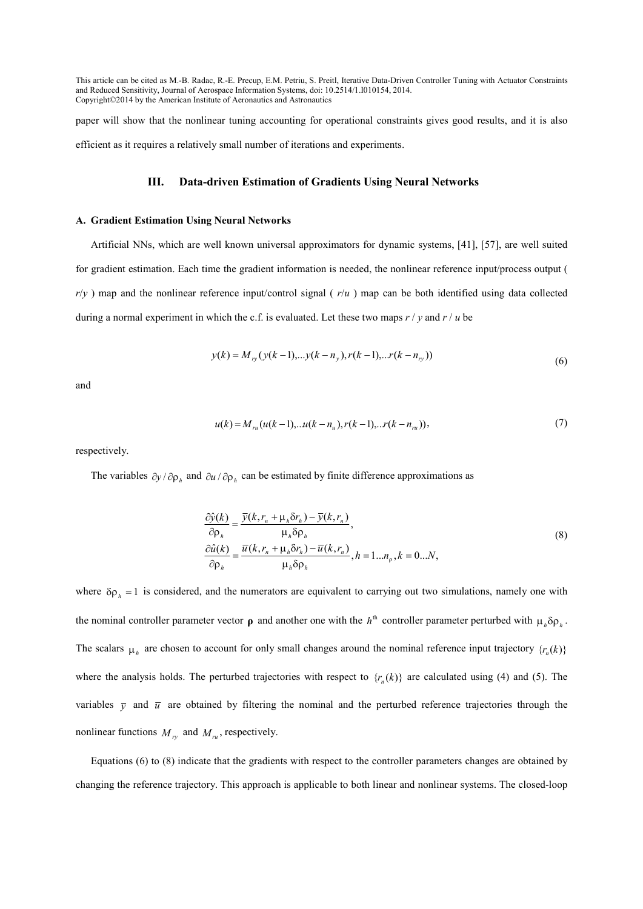paper will show that the nonlinear tuning accounting for operational constraints gives good results, and it is also efficient as it requires a relatively small number of iterations and experiments.

# **III.** Data-driven Estimation of Gradients Using Neural Networks

#### A. Gradient Estimation Using Neural Networks

Artificial NNs, which are well known universal approximators for dynamic systems, [41], [57], are well suited for gradient estimation. Each time the gradient information is needed, the nonlinear reference input/process output (  $r/y$ ) map and the nonlinear reference input/control signal ( $r/u$ ) map can be both identified using data collected during a normal experiment in which the c.f. is evaluated. Let these two maps *r* / *y* and *r* / *u* be

$$
y(k) = M_{ry}(y(k-1), \dots y(k-n_y), r(k-1), \dots r(k-n_{ry}))
$$
\n(6)

and

$$
u(k) = M_{ru}(u(k-1),...u(k-n_u),r(k-1),...r(k-n_{ru})),
$$
\n(7)

respectively.

The variables  $\partial y / \partial \rho_h$  and  $\partial u / \partial \rho_h$  can be estimated by finite difference approximations as

$$
\frac{\partial \hat{y}(k)}{\partial \rho_h} = \frac{\overline{y}(k, r_n + \mu_h \delta r_h) - \overline{y}(k, r_n)}{\mu_h \delta \rho_h},
$$
  
\n
$$
\frac{\partial \hat{u}(k)}{\partial \rho_h} = \frac{\overline{u}(k, r_n + \mu_h \delta r_h) - \overline{u}(k, r_n)}{\mu_h \delta \rho_h}, h = 1...n_p, k = 0...N,
$$
\n(8)

where  $\delta \rho_h = 1$  is considered, and the numerators are equivalent to carrying out two simulations, namely one with the nominal controller parameter vector  $\rho$  and another one with the  $h^{th}$  controller parameter perturbed with  $\mu_h \delta \rho_h$ . The scalars  $\mu_h$  are chosen to account for only small changes around the nominal reference input trajectory  $\{r_n(k)\}$ where the analysis holds. The perturbed trajectories with respect to  $\{r_n(k)\}$  are calculated using (4) and (5). The variables  $\bar{v}$  and  $\bar{u}$  are obtained by filtering the nominal and the perturbed reference trajectories through the nonlinear functions  $M_{ry}$  and  $M_{ru}$ , respectively.

Equations (6) to (8) indicate that the gradients with respect to the controller parameters changes are obtained by changing the reference trajectory. This approach is applicable to both linear and nonlinear systems. The closed-loop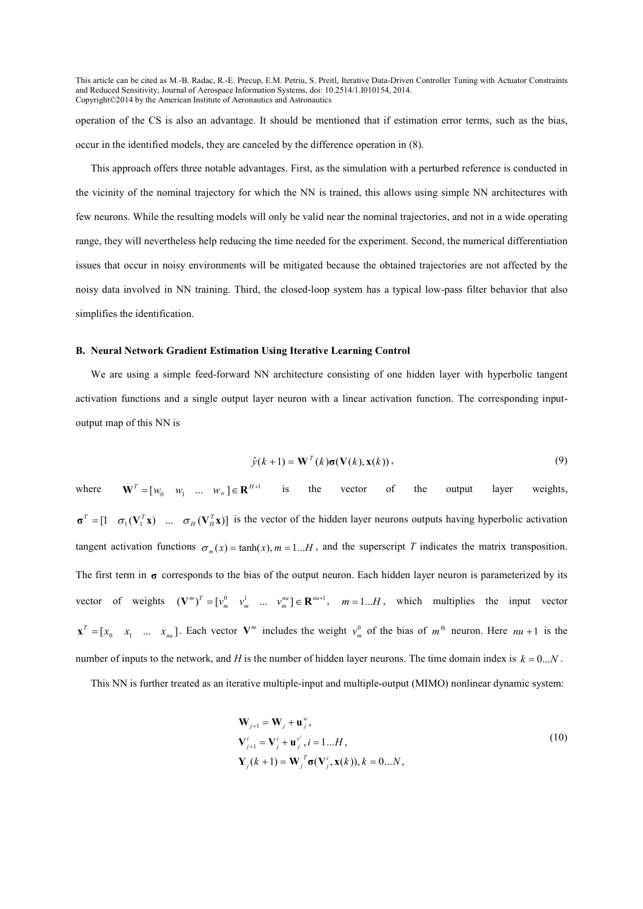operation of the CS is also an advantage. It should be mentioned that if estimation error terms, such as the bias, occur in the identified models, they are canceled by the difference operation in (8).

This approach offers three notable advantages. First, as the simulation with a perturbed reference is conducted in the vicinity of the nominal trajectory for which the NN is trained, this allows using simple NN architectures with few neurons. While the resulting models will only be valid near the nominal trajectories, and not in a wide operating range, they will nevertheless help reducing the time needed for the experiment. Second, the numerical differentiation issues that occur in noisy environments will be mitigated because the obtained trajectories are not affected by the noisy data involved in NN training. Third, the closed-loop system has a typical low-pass filter behavior that also simplifies the identification.

#### **B.** Neural Network Gradient Estimation Using Iterative Learning Control

We are using a simple feed-forward NN architecture consisting of one hidden layer with hyperbolic tangent activation functions and a single output layer neuron with a linear activation function. The corresponding inputoutput map of this NN is

$$
\hat{y}(k+1) = \mathbf{W}^{T}(k)\sigma(\mathbf{V}(k), \mathbf{x}(k)),
$$
\n(9)

where  $\mathbf{W}^T = \begin{bmatrix} w_0 & w_1 & \dots & w_H \end{bmatrix} \in \mathbf{R}^{H+1}$  is the vector of the output layer weights,  $\sigma^T = [1 \quad \sigma_1(\mathbf{V}_1^T \mathbf{x}) \quad \dots \quad \sigma_H(\mathbf{V}_H^T \mathbf{x})]$  is the vector of the hidden layer neurons outputs having hyperbolic activation tangent activation functions  $\sigma_m(x) = \tanh(x)$ ,  $m = 1...H$ , and the superscript *T* indicates the matrix transposition. The first term in  $\sigma$  corresponds to the bias of the output neuron. Each hidden layer neuron is parameterized by its vector of weights  $(\mathbf{V}^m)^T = [\mathbf{v}_m^0 \quad \mathbf{v}_m^1 \quad \dots \quad \mathbf{v}_m^m] \in \mathbf{R}^{m+1}$ ,  $m = 1...H$ , which multiplies the input vector  $\mathbf{x}^T = [x_0 \quad x_1 \quad \dots \quad x_m]$ . Each vector  $\mathbf{V}^m$  includes the weight  $v_m^0$  of the bias of  $m^{\text{th}}$  neuron. Here  $nu+1$  is the number of inputs to the network, and *H* is the number of hidden layer neurons. The time domain index is  $k = 0...N$ .

This NN is further treated as an iterative multiple-input and multiple-output (MIMO) nonlinear dynamic system:

$$
\mathbf{W}_{j+1} = \mathbf{W}_{j} + \mathbf{u}_{j}^{w},
$$
\n
$$
\mathbf{V}_{j+1}^{i} = \mathbf{V}_{j}^{i} + \mathbf{u}_{j}^{v^{i}}, i = 1...H,
$$
\n
$$
\mathbf{Y}_{j}(k+1) = \mathbf{W}_{j}^{T} \boldsymbol{\sigma}(\mathbf{V}_{j}^{i}, \mathbf{x}(k)), k = 0...N,
$$
\n(10)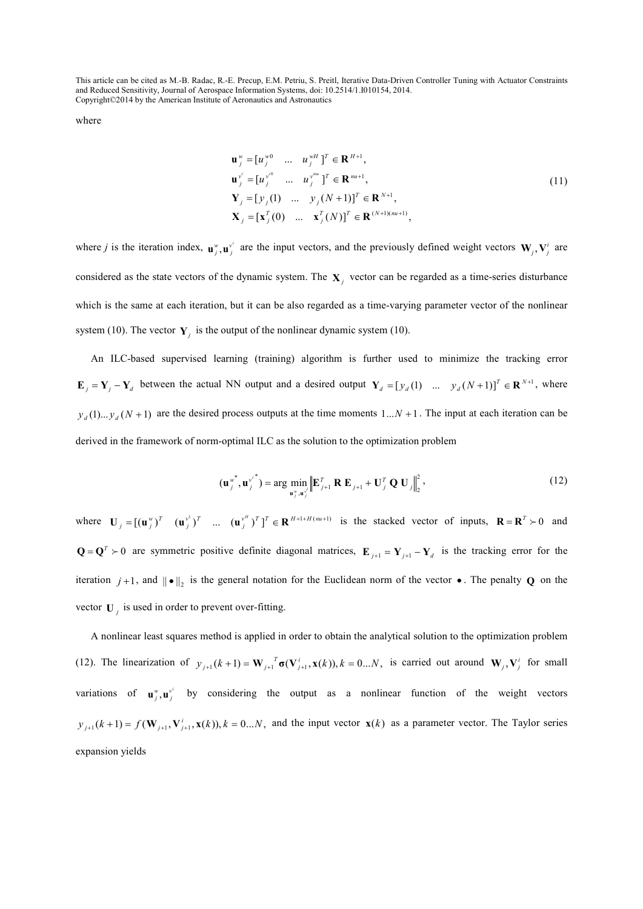where

$$
\mathbf{u}_{j}^{w} = [u_{j}^{w0} \dots u_{j}^{wH}]^{T} \in \mathbf{R}^{H+1},
$$
\n
$$
\mathbf{u}_{j}^{v^{i}} = [u_{j}^{v^{i0}} \dots u_{j}^{wH}]^{T} \in \mathbf{R}^{m+1},
$$
\n
$$
\mathbf{Y}_{j} = [y_{j}(1) \dots y_{j}(N+1)]^{T} \in \mathbf{R}^{N+1},
$$
\n
$$
\mathbf{X}_{j} = [\mathbf{x}_{j}^{T}(0) \dots \mathbf{x}_{j}^{T}(N)]^{T} \in \mathbf{R}^{(N+1)(m+1)},
$$
\n(11)

where *j* is the iteration index,  $\mathbf{u}^{\text{w}}_j$ ,  $\mathbf{u}^{\text{v}'}_j$  are the input vectors, and the previously defined weight vectors  $\mathbf{W}_j$ ,  $\mathbf{V}^i_j$  are considered as the state vectors of the dynamic system. The  $X_j$  vector can be regarded as a time-series disturbance which is the same at each iteration, but it can be also regarded as a time-varying parameter vector of the nonlinear system (10). The vector  $\mathbf{Y}_j$  is the output of the nonlinear dynamic system (10).

An ILC-based supervised learning (training) algorithm is further used to minimize the tracking error  $\mathbf{E}_j = \mathbf{Y}_j - \mathbf{Y}_d$  between the actual NN output and a desired output  $\mathbf{Y}_d = [y_d(1) \dots y_d(N+1)]^T \in \mathbf{R}^{N+1}$ , where  $y_d(1)... y_d(N + 1)$  are the desired process outputs at the time moments  $1...N + 1$ . The input at each iteration can be derived in the framework of norm-optimal ILC as the solution to the optimization problem

$$
(\mathbf{u}_{j}^{w^{*}}, \mathbf{u}_{j}^{v^{*}}) = \arg \min_{\mathbf{u}_{j}^{w}, \mathbf{u}_{j}^{v^{*}}} \left\| \mathbf{E}_{j+1}^{T} \mathbf{R} \mathbf{E}_{j+1} + \mathbf{U}_{j}^{T} \mathbf{Q} \mathbf{U}_{j} \right\|_{2}^{2},
$$
\n(12)

where  $\mathbf{U}_j = [(\mathbf{u}_j^w)^T \quad (\mathbf{u}_j^v)^T \quad \dots \quad (\mathbf{u}_j^v)^T]^T \in \mathbf{R}^{H+1+H(m+1)}$  $\mathbf{U}_i = [(\mathbf{u}_i^w)^T \quad (\mathbf{u}_i^v)^T \quad \dots \quad (\mathbf{u}_i^v)^T]^T \in \mathbf{R}^{H+1+H(nu+1)}$  is the stacked vector of inputs,  $\mathbf{R} = \mathbf{R}^T \succ 0$  and **Q** =  $Q^T$  ≻ 0 are symmetric positive definite diagonal matrices,  $E_{j+1} = Y_{j+1} - Y_d$  is the tracking error for the iteration  $j+1$ , and  $||\bullet||_2$  is the general notation for the Euclidean norm of the vector  $\bullet$ . The penalty **Q** on the vector  $U_j$  is used in order to prevent over-fitting.

A nonlinear least squares method is applied in order to obtain the analytical solution to the optimization problem (12). The linearization of  $y_{j+1}(k+1) = \mathbf{W}_{j+1}^T \sigma(\mathbf{V}_{j+1}^T, \mathbf{x}(k)), k = 0...N$ , is carried out around  $\mathbf{W}_j, \mathbf{V}_j^i$  for small variations of  $\mathbf{u}_{j}^{w}$ ,  $\mathbf{u}_{j}^{v'}$  by considering the output as a nonlinear function of the weight vectors  $y_{j+1}(k+1) = f(\mathbf{W}_{j+1}, \mathbf{V}_{j+1}^i, \mathbf{x}(k)), k = 0...N$ , and the input vector  $\mathbf{x}(k)$  as a parameter vector. The Taylor series expansion yields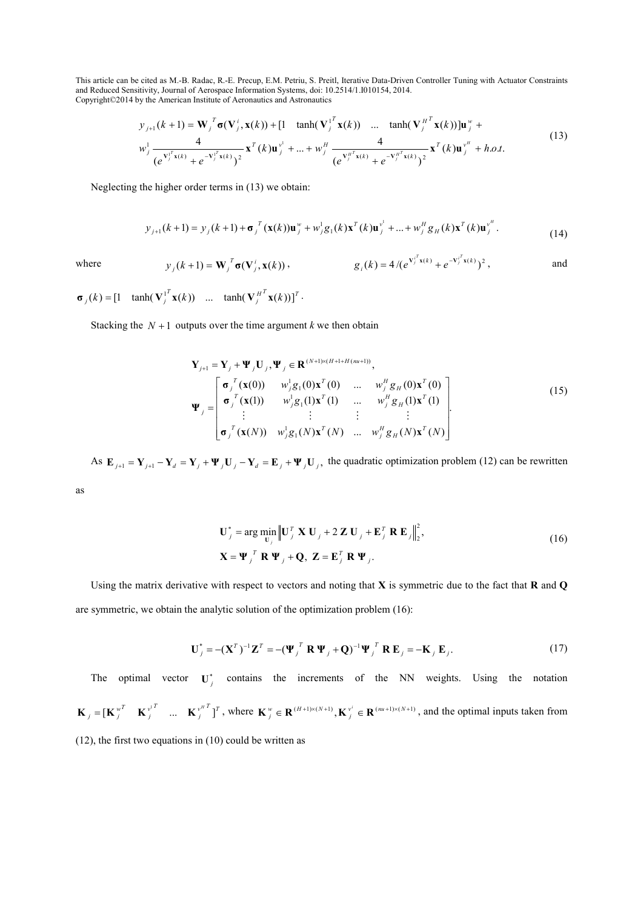$$
y_{j+1}(k+1) = \mathbf{W}_{j}^{T} \sigma(\mathbf{V}_{j}^{i}, \mathbf{x}(k)) + [1 - \tanh(\mathbf{V}_{j}^{T} \mathbf{x}(k)) \dots \tanh(\mathbf{V}_{j}^{H^{T}} \mathbf{x}(k))] \mathbf{u}_{j}^{w} + w_{j}^{1} \frac{4}{(e^{\mathbf{V}_{j}^{iT} \mathbf{x}(k)} + e^{-\mathbf{V}_{j}^{iT} \mathbf{x}(k)})^{2}} \mathbf{x}^{T}(k) \mathbf{u}_{j}^{v^{1}} + \dots + w_{j}^{H} \frac{4}{(e^{\mathbf{V}_{j}^{H^{T}} \mathbf{x}(k)} + e^{-\mathbf{V}_{j}^{H^{T}} \mathbf{x}(k)})^{2}} \mathbf{x}^{T}(k) \mathbf{u}_{j}^{v^{H}} + h.o.t.
$$
\n(13)

Neglecting the higher order terms in (13) we obtain:

$$
y_{j+1}(k+1) = y_j(k+1) + \sigma_j^T(\mathbf{x}(k))\mathbf{u}_j^w + w_j^1 g_1(k) \mathbf{x}^T(k) \mathbf{u}_j^{v^1} + \dots + w_j^H g_H(k) \mathbf{x}^T(k) \mathbf{u}_j^{v^H}.
$$
 (14)

where 
$$
y_j(k+1) = \mathbf{W}_j^T \sigma(\mathbf{V}_j^i, \mathbf{x}(k))
$$
,  $g_i(k) = 4/(e^{\mathbf{V}_j^T \mathbf{x}(k)} + e^{-\mathbf{V}_j^T \mathbf{x}(k)})^2$ , and

 $J_j^{H^T}$ **x** $(k)$ )]<sup>*T*</sup> *T*  $\sigma_j(k) = \begin{bmatrix} 1 & \tanh(\mathbf{V}_j^{1'}\mathbf{x}(k)) & \dots & \tanh(\mathbf{V}_j^{H'}\mathbf{x}(k)) \end{bmatrix}^T$ .

Stacking the  $N + 1$  outputs over the time argument *k* we then obtain

$$
\mathbf{Y}_{j+1} = \mathbf{Y}_{j} + \mathbf{\Psi}_{j} \mathbf{U}_{j}, \mathbf{\Psi}_{j} \in \mathbf{R}^{(N+1)\times(H+1+H(m+1))},
$$
\n
$$
\mathbf{\Psi}_{j} = \begin{bmatrix}\n\mathbf{\sigma}_{j}^{T}(\mathbf{x}(0)) & w_{j}^{1}\mathbf{g}_{1}(0)\mathbf{x}^{T}(0) & \dots & w_{j}^{H}\mathbf{g}_{H}(0)\mathbf{x}^{T}(0) \\
\mathbf{\sigma}_{j}^{T}(\mathbf{x}(1)) & w_{j}^{1}\mathbf{g}_{1}(1)\mathbf{x}^{T}(1) & \dots & w_{j}^{H}\mathbf{g}_{H}(1)\mathbf{x}^{T}(1) \\
\vdots & \vdots & \vdots & \vdots \\
\mathbf{\sigma}_{j}^{T}(\mathbf{x}(N)) & w_{j}^{1}\mathbf{g}_{1}(N)\mathbf{x}^{T}(N) & \dots & w_{j}^{H}\mathbf{g}_{H}(N)\mathbf{x}^{T}(N)\n\end{bmatrix}.
$$
\n(15)

As  $\mathbf{E}_{j+1} = \mathbf{Y}_{j+1} - \mathbf{Y}_d = \mathbf{Y}_j + \Psi_j \mathbf{U}_j - \mathbf{Y}_d = \mathbf{E}_j + \Psi_j \mathbf{U}_j$ , the quadratic optimization problem (12) can be rewritten

as

$$
\mathbf{U}_{j}^{*} = \arg \min_{\mathbf{U}_{j}} \left\| \mathbf{U}_{j}^{T} \mathbf{X} \mathbf{U}_{j} + 2 \mathbf{Z} \mathbf{U}_{j} + \mathbf{E}_{j}^{T} \mathbf{R} \mathbf{E}_{j} \right\|_{2}^{2},
$$
\n
$$
\mathbf{X} = \mathbf{\Psi}_{j}^{T} \mathbf{R} \mathbf{\Psi}_{j} + \mathbf{Q}, \mathbf{Z} = \mathbf{E}_{j}^{T} \mathbf{R} \mathbf{\Psi}_{j}.
$$
\n(16)

Using the matrix derivative with respect to vectors and noting that **X** is symmetric due to the fact that **R** and **Q** are symmetric, we obtain the analytic solution of the optimization problem (16):

$$
\mathbf{U}_{j}^{*} = -(\mathbf{X}^{T})^{-1}\mathbf{Z}^{T} = -(\mathbf{\Psi}_{j}^{T}\mathbf{R}\mathbf{\Psi}_{j} + \mathbf{Q})^{-1}\mathbf{\Psi}_{j}^{T}\mathbf{R}\mathbf{E}_{j} = -\mathbf{K}_{j}\mathbf{E}_{j}.
$$
 (17)

The optimal vector  $U_j^*$  contains the increments of the NN weights. Using the notation  $\int_j^{T}$ <sup>*T*</sup>  $\mathbf{K}^{v^T}_{j}$  **K**  $v^{\mathsf{T}}_{j}$  $\mathbf{K}_{j} = [\mathbf{K}_{j}^{w^{T}} \quad \mathbf{K}_{j}^{v^{T}} \quad \dots \quad \mathbf{K}_{j}^{w^{H}}]^T$ , where  $\mathbf{K}_{j}^{w} \in \mathbf{R}^{(H+1)\times(N+1)}$ ,  $\mathbf{K}_{j}^{v^{i}} \in \mathbf{R}^{(m+1)\times(N+1)}$  $\mathbf{K}_{i}^{w} \in \mathbf{R}^{(H+1)\times(N+1)}, \mathbf{K}_{i}^{v^{i}} \in \mathbf{R}^{(mu+1)\times(N+1)}$ , and the optimal inputs taken from (12), the first two equations in (10) could be written as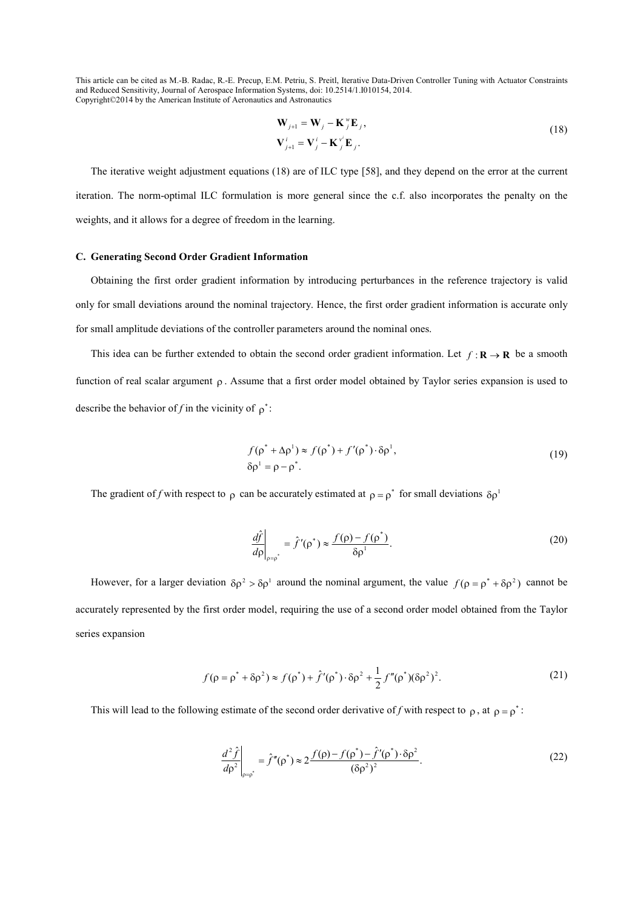$$
\mathbf{W}_{j+1} = \mathbf{W}_j - \mathbf{K}_j^{\mathrm{w}} \mathbf{E}_j,
$$
  
\n
$$
\mathbf{V}_{j+1}^i = \mathbf{V}_j^i - \mathbf{K}_j^{\mathrm{w}} \mathbf{E}_j.
$$
\n(18)

The iterative weight adjustment equations (18) are of ILC type [58], and they depend on the error at the current iteration. The norm-optimal ILC formulation is more general since the c.f. also incorporates the penalty on the weights, and it allows for a degree of freedom in the learning.

#### **C. Generating Second Order Gradient Information**

Obtaining the first order gradient information by introducing perturbances in the reference trajectory is valid only for small deviations around the nominal trajectory. Hence, the first order gradient information is accurate only for small amplitude deviations of the controller parameters around the nominal ones.

This idea can be further extended to obtain the second order gradient information. Let  $f: \mathbf{R} \to \mathbf{R}$  be a smooth function of real scalar argument ρ . Assume that a first order model obtained by Taylor series expansion is used to describe the behavior of *f* in the vicinity of  $\rho^*$ :

$$
f(\rho^* + \Delta \rho^1) \approx f(\rho^*) + f'(\rho^*) \cdot \delta \rho^1,
$$
  
\n
$$
\delta \rho^1 = \rho - \rho^*.
$$
\n(19)

The gradient of *f* with respect to  $\rho$  can be accurately estimated at  $\rho = \rho^*$  for small deviations  $\delta \rho^1$ 

$$
\left. \frac{d\hat{f}}{d\rho} \right|_{\rho = \rho^*} = \hat{f}'(\rho^*) \approx \frac{f(\rho) - f(\rho^*)}{\delta \rho^1}.
$$
\n(20)

However, for a larger deviation  $\delta \rho^2 > \delta \rho^1$  around the nominal argument, the value  $f(\rho = \rho^* + \delta \rho^2)$  cannot be accurately represented by the first order model, requiring the use of a second order model obtained from the Taylor series expansion

$$
f(\rho = \rho^* + \delta \rho^2) \approx f(\rho^*) + \hat{f}'(\rho^*) \cdot \delta \rho^2 + \frac{1}{2} f''(\rho^*) (\delta \rho^2)^2.
$$
 (21)

This will lead to the following estimate of the second order derivative of *f* with respect to  $\rho$ , at  $\rho = \rho^*$ :

$$
\left. \frac{d^2 \hat{f}}{d\rho^2} \right|_{\rho = \rho^*} = \hat{f}''(\rho^*) \approx 2 \frac{f(\rho) - f(\rho^*) - \hat{f}'(\rho^*) \cdot \delta \rho^2}{(\delta \rho^2)^2}.
$$
\n(22)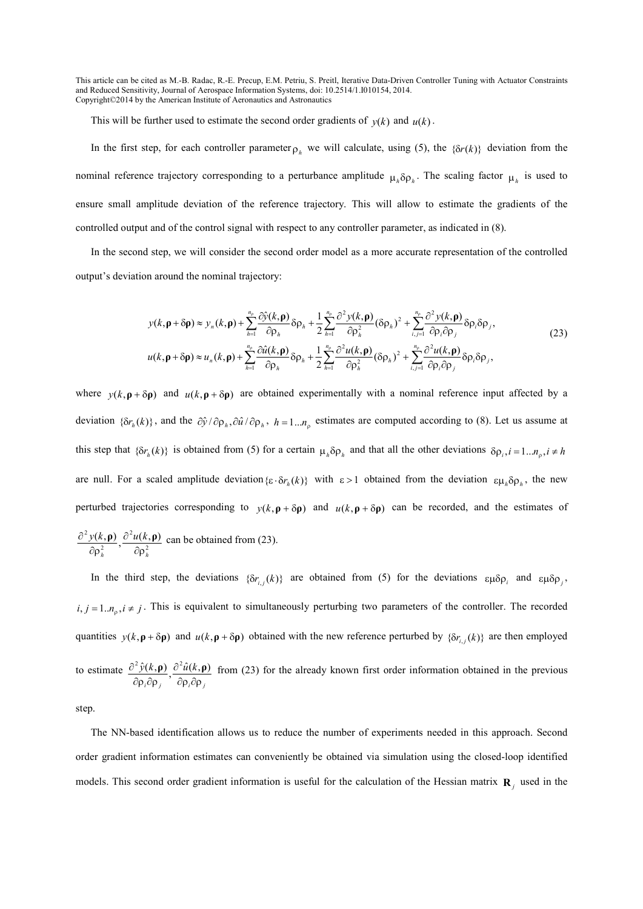This will be further used to estimate the second order gradients of  $y(k)$  and  $u(k)$ .

In the first step, for each controller parameter  $\rho_h$  we will calculate, using (5), the { $\delta r(k)$ } deviation from the nominal reference trajectory corresponding to a perturbance amplitude  $\mu_h \delta \rho_h$ . The scaling factor  $\mu_h$  is used to ensure small amplitude deviation of the reference trajectory. This will allow to estimate the gradients of the controlled output and of the control signal with respect to any controller parameter, as indicated in (8).

In the second step, we will consider the second order model as a more accurate representation of the controlled output's deviation around the nominal trajectory:

$$
y(k, \mathbf{p} + \delta \mathbf{p}) \approx y_n(k, \mathbf{p}) + \sum_{h=1}^{n_p} \frac{\partial \hat{y}(k, \mathbf{p})}{\partial \rho_h} \delta \rho_h + \frac{1}{2} \sum_{h=1}^{n_p} \frac{\partial^2 y(k, \mathbf{p})}{\partial \rho_h^2} (\delta \rho_h)^2 + \sum_{i,j=1}^{n_p} \frac{\partial^2 y(k, \mathbf{p})}{\partial \rho_i \partial \rho_j} \delta \rho_i \delta \rho_j,
$$
  
\n
$$
u(k, \mathbf{p} + \delta \mathbf{p}) \approx u_n(k, \mathbf{p}) + \sum_{h=1}^{n_p} \frac{\partial \hat{u}(k, \mathbf{p})}{\partial \rho_h} \delta \rho_h + \frac{1}{2} \sum_{h=1}^{n_p} \frac{\partial^2 u(k, \mathbf{p})}{\partial \rho_h^2} (\delta \rho_h)^2 + \sum_{i,j=1}^{n_p} \frac{\partial^2 u(k, \mathbf{p})}{\partial \rho_i \partial \rho_j} \delta \rho_i \delta \rho_j,
$$
\n(23)

where  $y(k, \rho + \delta \rho)$  and  $u(k, \rho + \delta \rho)$  are obtained experimentally with a nominal reference input affected by a deviation  $\{\delta r_h(k)\}\$ , and the  $\partial \hat{y}/\partial \rho_h$ ,  $\partial \hat{u}/\partial \rho_h$ ,  $h = 1...n_p$  estimates are computed according to (8). Let us assume at this step that  $\{\delta r_h(k)\}\$ is obtained from (5) for a certain  $\mu_h \delta \rho_h$  and that all the other deviations  $\delta \rho_i, i = 1...n_p, i \neq h$ are null. For a scaled amplitude deviation { $\epsilon \cdot \delta r_h(k)$ } with  $\epsilon > 1$  obtained from the deviation  $\epsilon \mu_h \delta \rho_h$ , the new perturbed trajectories corresponding to  $y(k, \rho + \delta \rho)$  and  $u(k, \rho + \delta \rho)$  can be recorded, and the estimates of 2 2 2  $\frac{\partial^2 y(k,\mathbf{p})}{\partial x^2}$ ,  $\frac{\partial^2 u(k,\mathbf{p})}{\partial x^2}$ *h*  $\mathfrak{C} \mathfrak{p}_h$  $y(k, \rho) \partial^2 u(k$ ∂ρ ∂ ∂ρ  $\frac{\partial^2 y(k, \mathbf{p})}{\partial \hat{z}^2 u(k, \mathbf{p})}$  can be obtained from (23).

In the third step, the deviations  $\{\delta r_{i,j}(k)\}$  are obtained from (5) for the deviations  $\epsilon \mu \delta \rho_i$  and  $\epsilon \mu \delta \rho_j$ ,  $i, j = 1..n_p, i \neq j$ . This is equivalent to simultaneously perturbing two parameters of the controller. The recorded quantities  $y(k, \mathbf{p} + \delta \mathbf{p})$  and  $u(k, \mathbf{p} + \delta \mathbf{p})$  obtained with the new reference perturbed by  $\{\delta r_{i,j}(k)\}\$  are then employed to estimate  $i^{\nu}$   $\mu$   $j^{\nu}$   $\mu$   $\mu$   $\mu$   $\mu$  $\hat{y}(k,\mathbf{p}) \partial^2 \hat{u}(k)$ ∂ρ ∂ρ ∂ ∂ρ ∂ρ  $\frac{\partial^2 \hat{y}(k,\mathbf{p})}{\partial \hat{y}(k,\mathbf{p})}$  from (23) for the already known first order information obtained in the previous

step.

The NN-based identification allows us to reduce the number of experiments needed in this approach. Second order gradient information estimates can conveniently be obtained via simulation using the closed-loop identified models. This second order gradient information is useful for the calculation of the Hessian matrix  $\mathbf{R}_j$  used in the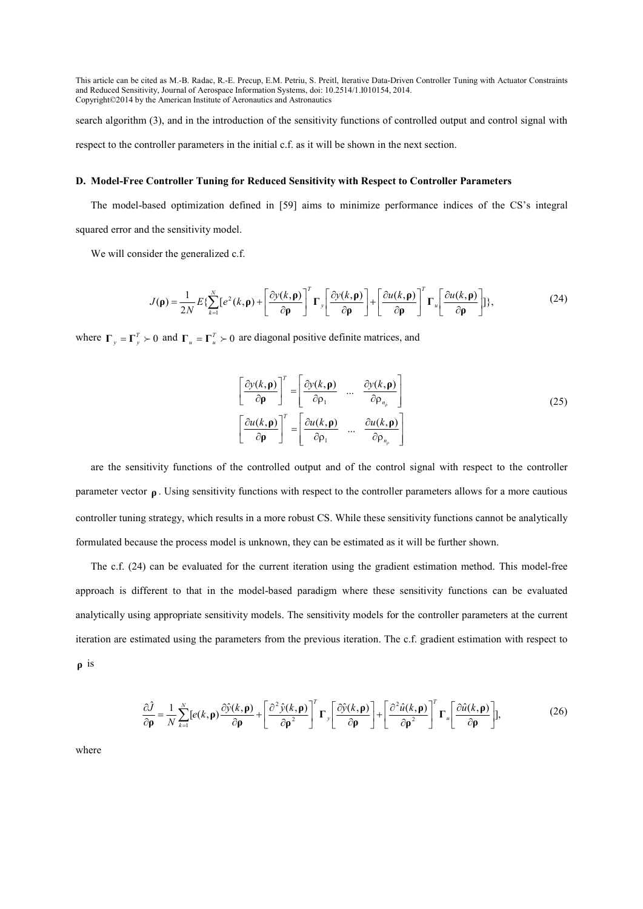search algorithm (3), and in the introduction of the sensitivity functions of controlled output and control signal with respect to the controller parameters in the initial c.f. as it will be shown in the next section.

### **D. Model-Free Controller Tuning for Reduced Sensitivity with Respect to Controller Parameters**

The model-based optimization defined in [59] aims to minimize performance indices of the CS's integral squared error and the sensitivity model.

We will consider the generalized c.f.

$$
J(\mathbf{\rho}) = \frac{1}{2N} E \{ \sum_{k=1}^{N} [e^2(k, \mathbf{\rho}) + \left[ \frac{\partial y(k, \mathbf{\rho})}{\partial \mathbf{\rho}} \right]^T \mathbf{\Gamma}_y \left[ \frac{\partial y(k, \mathbf{\rho})}{\partial \mathbf{\rho}} \right] + \left[ \frac{\partial u(k, \mathbf{\rho})}{\partial \mathbf{\rho}} \right]^T \mathbf{\Gamma}_u \left[ \frac{\partial u(k, \mathbf{\rho})}{\partial \mathbf{\rho}} \right] \},
$$
(24)

where  $\Gamma_y = \Gamma_y^T \succ 0$  and  $\Gamma_u = \Gamma_u^T \succ 0$  are diagonal positive definite matrices, and

$$
\left[\frac{\partial y(k,\mathbf{p})}{\partial \mathbf{p}}\right]^T = \left[\frac{\partial y(k,\mathbf{p})}{\partial \rho_1} \cdots \frac{\partial y(k,\mathbf{p})}{\partial \rho_{n_{\rho}}} \right]
$$
\n
$$
\left[\frac{\partial u(k,\mathbf{p})}{\partial \mathbf{p}}\right]^T = \left[\frac{\partial u(k,\mathbf{p})}{\partial \rho_1} \cdots \frac{\partial u(k,\mathbf{p})}{\partial \rho_{n_{\rho}}} \right]
$$
\n(25)

are the sensitivity functions of the controlled output and of the control signal with respect to the controller parameter vector **ρ** . Using sensitivity functions with respect to the controller parameters allows for a more cautious controller tuning strategy, which results in a more robust CS. While these sensitivity functions cannot be analytically formulated because the process model is unknown, they can be estimated as it will be further shown.

The c.f. (24) can be evaluated for the current iteration using the gradient estimation method. This model-free approach is different to that in the model-based paradigm where these sensitivity functions can be evaluated analytically using appropriate sensitivity models. The sensitivity models for the controller parameters at the current iteration are estimated using the parameters from the previous iteration. The c.f. gradient estimation with respect to **ρ** is

$$
\frac{\partial \hat{J}}{\partial \rho} = \frac{1}{N} \sum_{k=1}^{N} \left[ e(k, \rho) \frac{\partial \hat{y}(k, \rho)}{\partial \rho} + \left[ \frac{\partial^2 \hat{y}(k, \rho)}{\partial \rho^2} \right]^T \Gamma_y \left[ \frac{\partial \hat{y}(k, \rho)}{\partial \rho} \right] + \left[ \frac{\partial^2 \hat{u}(k, \rho)}{\partial \rho^2} \right]^T \Gamma_u \left[ \frac{\partial \hat{u}(k, \rho)}{\partial \rho} \right],\tag{26}
$$

where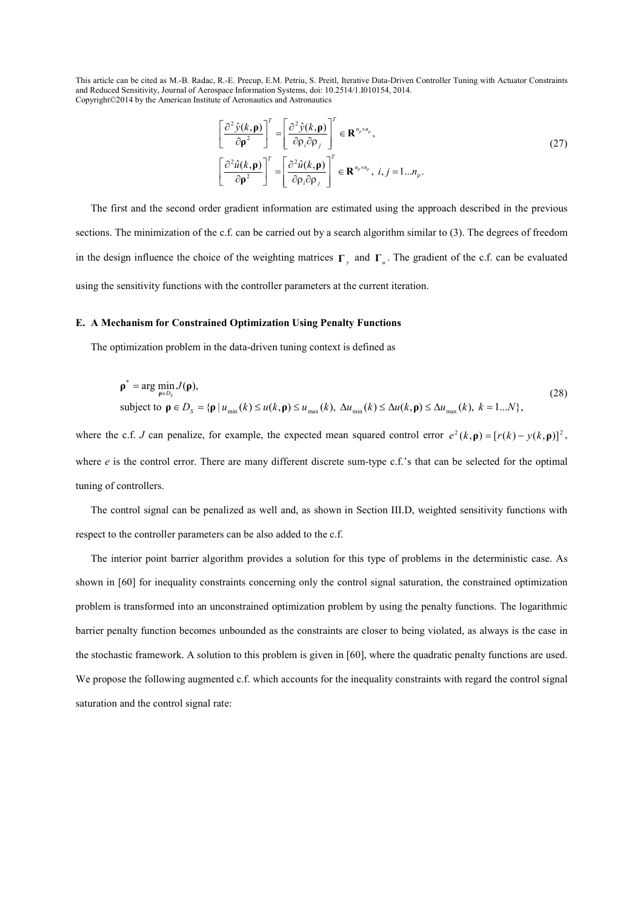$$
\left[\frac{\partial^2 \hat{y}(k,\mathbf{p})}{\partial \mathbf{p}^2}\right]^T = \left[\frac{\partial^2 \hat{y}(k,\mathbf{p})}{\partial \rho_i \partial \rho_j}\right]^T \in \mathbf{R}^{n_p \times n_p},
$$
\n
$$
\left[\frac{\partial^2 \hat{u}(k,\mathbf{p})}{\partial \mathbf{p}^2}\right]^T = \left[\frac{\partial^2 \hat{u}(k,\mathbf{p})}{\partial \rho_i \partial \rho_j}\right]^T \in \mathbf{R}^{n_p \times n_p}, \ i, j = 1...n_p.
$$
\n(27)

The first and the second order gradient information are estimated using the approach described in the previous sections. The minimization of the c.f. can be carried out by a search algorithm similar to (3). The degrees of freedom in the design influence the choice of the weighting matrices  $\Gamma$ <sub>*y*</sub> and  $\Gamma$ <sub>*u*</sub>. The gradient of the c.f. can be evaluated using the sensitivity functions with the controller parameters at the current iteration.

### **E. A Mechanism for Constrained Optimization Using Penalty Functions**

The optimization problem in the data-driven tuning context is defined as

$$
\rho^* = \arg \min_{\rho \in D_S} J(\rho),
$$
  
subject to  $\rho \in D_S = {\rho | u_{\min}(k) \le u(k, \rho) \le u_{\max}(k), \ \Delta u_{\min}(k) \le \Delta u(k, \rho) \le \Delta u_{\max}(k), \ k = 1...N},$  (28)

where the c.f. *J* can penalize, for example, the expected mean squared control error  $e^2(k, \mathbf{p}) = [r(k) - y(k, \mathbf{p})]^2$ , where *e* is the control error. There are many different discrete sum-type c.f.'s that can be selected for the optimal tuning of controllers.

The control signal can be penalized as well and, as shown in Section III.D, weighted sensitivity functions with respect to the controller parameters can be also added to the c.f.

The interior point barrier algorithm provides a solution for this type of problems in the deterministic case. As shown in [60] for inequality constraints concerning only the control signal saturation, the constrained optimization problem is transformed into an unconstrained optimization problem by using the penalty functions. The logarithmic barrier penalty function becomes unbounded as the constraints are closer to being violated, as always is the case in the stochastic framework. A solution to this problem is given in [60], where the quadratic penalty functions are used. We propose the following augmented c.f. which accounts for the inequality constraints with regard the control signal saturation and the control signal rate: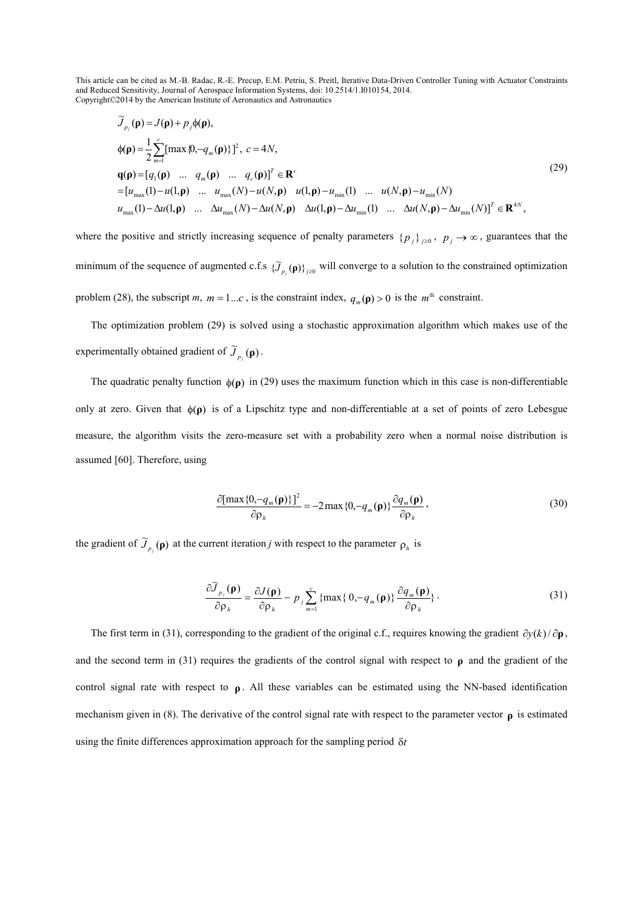$$
\widetilde{J}_{p_j}(\mathbf{p}) = J(\mathbf{p}) + p_j \phi(\mathbf{p}),
$$
\n
$$
\phi(\mathbf{p}) = \frac{1}{2} \sum_{m=1}^{c} [\max \{0, -q_m(\mathbf{p})\}]^2, \ c = 4N,
$$
\n
$$
\mathbf{q}(\mathbf{p}) = [q_1(\mathbf{p}) \quad \dots \quad q_m(\mathbf{p}) \quad \dots \quad q_c(\mathbf{p})]^T \in \mathbf{R}^c
$$
\n
$$
= [u_{\max}(1) - u(1, \mathbf{p}) \quad \dots \quad u_{\max}(N) - u(N, \mathbf{p}) \quad u(1, \mathbf{p}) - u_{\min}(1) \quad \dots \quad u(N, \mathbf{p}) - u_{\min}(N)
$$
\n
$$
u_{\max}(1) - \Delta u(1, \mathbf{p}) \quad \dots \quad \Delta u_{\max}(N) - \Delta u(N, \mathbf{p}) \quad \Delta u(1, \mathbf{p}) - \Delta u_{\min}(1) \quad \dots \quad \Delta u(N, \mathbf{p}) - \Delta u_{\min}(N)]^T \in \mathbf{R}^{4N},
$$
\n(29)

where the positive and strictly increasing sequence of penalty parameters  $\{p_j\}_{j\geq 0}$ ,  $p_j \to \infty$ , guarantees that the minimum of the sequence of augmented c.f.s  $\{\widetilde{J}_{p_j}(\mathbf{p})\}_{j\geq0}$  will converge to a solution to the constrained optimization problem (28), the subscript *m*,  $m = 1...c$ , is the constraint index,  $q_m(\mathbf{p}) > 0$  is the  $m^{\text{th}}$  constraint.

The optimization problem (29) is solved using a stochastic approximation algorithm which makes use of the experimentally obtained gradient of  $\widetilde{J}_{p_j}(\mathbf{\rho})$ .

The quadratic penalty function  $\phi(\rho)$  in (29) uses the maximum function which in this case is non-differentiable only at zero. Given that φ(**ρ**) is of a Lipschitz type and non-differentiable at a set of points of zero Lebesgue measure, the algorithm visits the zero-measure set with a probability zero when a normal noise distribution is assumed [60]. Therefore, using

$$
\frac{\partial[\max\{0, -q_m(\mathbf{p})\}]^2}{\partial \rho_h} = -2 \max\{0, -q_m(\mathbf{p})\} \frac{\partial q_m(\mathbf{p})}{\partial \rho_h},
$$
\n(30)

the gradient of  $\widetilde{J}_{p_j}(\mathbf{p})$  at the current iteration *j* with respect to the parameter  $\rho_h$  is

$$
\frac{\partial \widetilde{J}_{p_j}(\mathbf{\rho})}{\partial \rho_h} = \frac{\partial J(\mathbf{\rho})}{\partial \rho_h} - p_j \sum_{m=1}^c \{ \max \{ 0, -q_m(\mathbf{\rho}) \} \frac{\partial q_m(\mathbf{\rho})}{\partial \rho_h} \} \,. \tag{31}
$$

The first term in (31), corresponding to the gradient of the original c.f., requires knowing the gradient  $\partial y(k)/\partial \rho$ , and the second term in (31) requires the gradients of the control signal with respect to **ρ** and the gradient of the control signal rate with respect to **ρ** . All these variables can be estimated using the NN-based identification mechanism given in (8). The derivative of the control signal rate with respect to the parameter vector **ρ** is estimated using the finite differences approximation approach for the sampling period δ*t*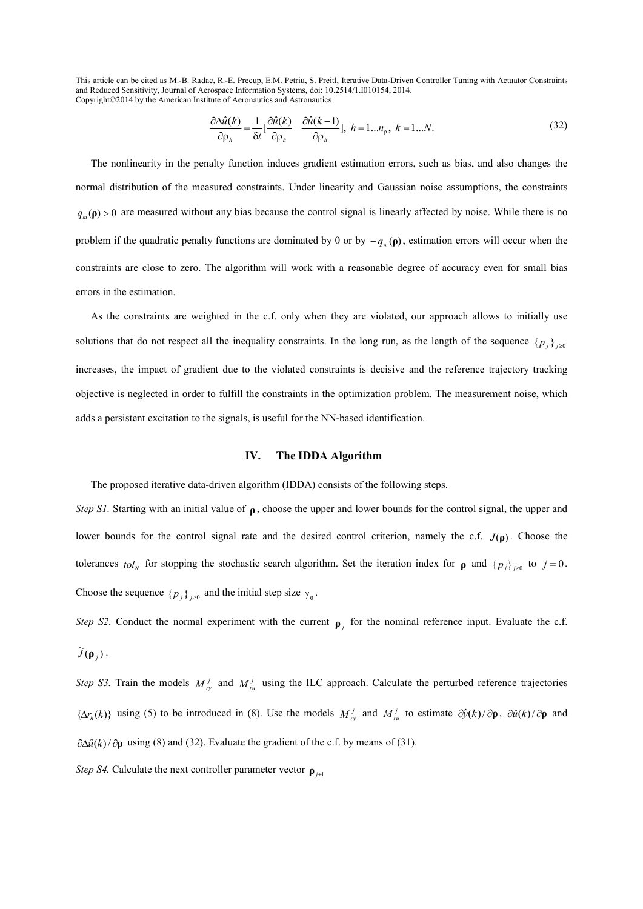$$
\frac{\partial \Delta \hat{u}(k)}{\partial \rho_h} = \frac{1}{\delta t} \left[ \frac{\partial \hat{u}(k)}{\partial \rho_h} - \frac{\partial \hat{u}(k-1)}{\partial \rho_h} \right], \ h = 1...n_\rho, \ k = 1...N. \tag{32}
$$

The nonlinearity in the penalty function induces gradient estimation errors, such as bias, and also changes the normal distribution of the measured constraints. Under linearity and Gaussian noise assumptions, the constraints  $q_m(\mathbf{p}) > 0$  are measured without any bias because the control signal is linearly affected by noise. While there is no problem if the quadratic penalty functions are dominated by 0 or by  $-q_m(\rho)$ , estimation errors will occur when the constraints are close to zero. The algorithm will work with a reasonable degree of accuracy even for small bias errors in the estimation.

As the constraints are weighted in the c.f. only when they are violated, our approach allows to initially use solutions that do not respect all the inequality constraints. In the long run, as the length of the sequence  $\{p_j\}_{j\geq 0}$ increases, the impact of gradient due to the violated constraints is decisive and the reference trajectory tracking objective is neglected in order to fulfill the constraints in the optimization problem. The measurement noise, which adds a persistent excitation to the signals, is useful for the NN-based identification.

### **IV. The IDDA Algorithm**

The proposed iterative data-driven algorithm (IDDA) consists of the following steps.

*Step S1.* Starting with an initial value of **ρ** , choose the upper and lower bounds for the control signal, the upper and lower bounds for the control signal rate and the desired control criterion, namely the c.f.  $J(\rho)$ . Choose the tolerances  $tol<sub>N</sub>$  for stopping the stochastic search algorithm. Set the iteration index for **ρ** and  $\{p_j\}_{j\geq0}$  to  $j=0$ . Choose the sequence  $\{p_j\}_{j\geq 0}$  and the initial step size  $\gamma_0$ .

*Step S2.* Conduct the normal experiment with the current  $\rho$  *j* for the nominal reference input. Evaluate the c.f.  $\widetilde{J}(\mathbf{\rho}_j)$  .

*Step S3.* Train the models  $M_{r_v}^j$  and  $M_{r_u}^j$  using the ILC approach. Calculate the perturbed reference trajectories  $\{\Delta r_h(k)\}\$  using (5) to be introduced in (8). Use the models  $M_{r_v}^j$  and  $M_{r_u}^j$  to estimate  $\partial \hat{y}(k)/\partial \mathbf{p}$ ,  $\partial \hat{u}(k)/\partial \mathbf{p}$  and  $\partial \Delta \hat{u}(k)/\partial \mathbf{p}$  using (8) and (32). Evaluate the gradient of the c.f. by means of (31).

*Step S4.* Calculate the next controller parameter vector  $\rho$ <sub>*i*+1</sub>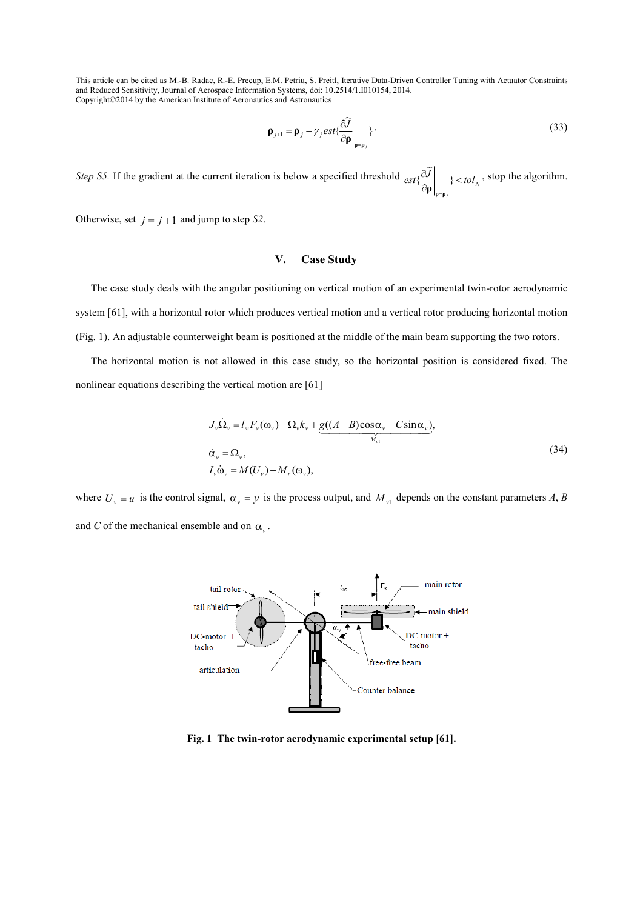$$
\mathbf{p}_{j+1} = \mathbf{p}_j - \gamma_j \text{est}\left\{\frac{\partial \widetilde{J}}{\partial \mathbf{p}}\bigg|_{\mathbf{p} = \mathbf{p}_j}\right\}.
$$
\n(33)

*Step S5.* If the gradient at the current iteration is below a specified threshold  $ext{\frac{\partial J}{\partial s}}$   $\rightarrow$   $$  $\frac{\partial}{\partial \rho}$  } < ∂ = }  $\widetilde{\mathbf{r}}$ { **ρ ρ ρ** , stop the algorithm.

Otherwise, set  $j = j + 1$  and jump to step *S2*.

# **V. Case Study**

The case study deals with the angular positioning on vertical motion of an experimental twin-rotor aerodynamic system [61], with a horizontal rotor which produces vertical motion and a vertical rotor producing horizontal motion (Fig. 1). An adjustable counterweight beam is positioned at the middle of the main beam supporting the two rotors.

The horizontal motion is not allowed in this case study, so the horizontal position is considered fixed. The nonlinear equations describing the vertical motion are [61]

$$
J_{\nu}\dot{\Omega}_{\nu} = l_{m}F_{\nu}(\omega_{\nu}) - \Omega_{\nu}k_{\nu} + \underbrace{g((A-B)\cos\alpha_{\nu} - C\sin\alpha_{\nu})}_{M_{\nu i}},
$$
  
\n
$$
\dot{\alpha}_{\nu} = \Omega_{\nu},
$$
  
\n
$$
I_{\nu}\dot{\omega}_{\nu} = M(U_{\nu}) - M_{\nu}(\omega_{\nu}),
$$
\n(34)

where  $U_y = u$  is the control signal,  $\alpha_y = y$  is the process output, and  $M_{y1}$  depends on the constant parameters *A*, *B* and *C* of the mechanical ensemble and on  $\alpha$ <sub>*v*</sub>.



**Fig. 1 The twin-rotor aerodynamic experimental setup [61].**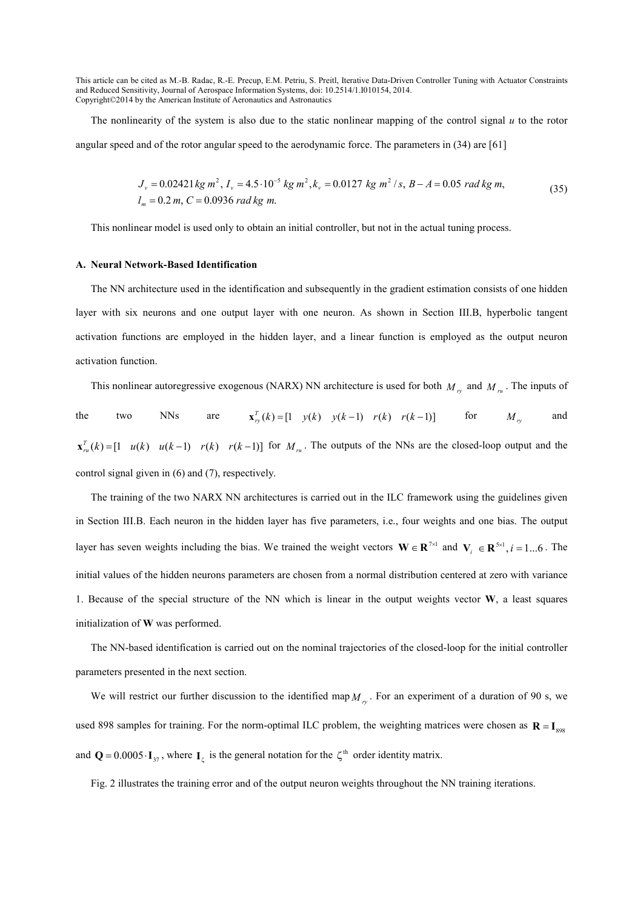The nonlinearity of the system is also due to the static nonlinear mapping of the control signal *u* to the rotor angular speed and of the rotor angular speed to the aerodynamic force. The parameters in (34) are [61]

$$
J_v = 0.02421 \, kg \, m^2, \, I_v = 4.5 \cdot 10^{-5} \, kg \, m^2, \, k_v = 0.0127 \, kg \, m^2 / s, \, B - A = 0.05 \, rad \, kg \, m,
$$
\n
$$
I_m = 0.2 \, m, \, C = 0.0936 \, rad \, kg \, m.
$$
\n
$$
(35)
$$

This nonlinear model is used only to obtain an initial controller, but not in the actual tuning process.

## **A. %eural %etwork-Based Identification**

The NN architecture used in the identification and subsequently in the gradient estimation consists of one hidden layer with six neurons and one output layer with one neuron. As shown in Section III.B, hyperbolic tangent activation functions are employed in the hidden layer, and a linear function is employed as the output neuron activation function.

This nonlinear autoregressive exogenous (NARX) NN architecture is used for both  $M_{r_y}$  and  $M_{r_u}$ . The inputs of the two NNs are  $\mathbf{x}_{r_y}^T(k) = [1 \ y(k) \ y(k-1) \ r(k) \ r(k-1)]$  for  $M_{r_y}$  and  $\mathbf{x}_{n}^{T}(k) = [1 \quad u(k) \quad u(k-1) \quad r(k) \quad r(k-1)]$  for  $M_{n}$ . The outputs of the NNs are the closed-loop output and the control signal given in (6) and (7), respectively.

The training of the two NARX NN architectures is carried out in the ILC framework using the guidelines given in Section III.B. Each neuron in the hidden layer has five parameters, i.e., four weights and one bias. The output layer has seven weights including the bias. We trained the weight vectors  $\mathbf{W} \in \mathbb{R}^{7 \times 1}$  and  $\mathbf{V}_i \in \mathbb{R}^{5 \times 1}$ ,  $i = 1...6$ . The initial values of the hidden neurons parameters are chosen from a normal distribution centered at zero with variance 1. Because of the special structure of the NN which is linear in the output weights vector **W**, a least squares initialization of **W** was performed.

The NN-based identification is carried out on the nominal trajectories of the closed-loop for the initial controller parameters presented in the next section.

We will restrict our further discussion to the identified map  $M_{r_y}$ . For an experiment of a duration of 90 s, we used 898 samples for training. For the norm-optimal ILC problem, the weighting matrices were chosen as  $\mathbf{R} = \mathbf{I}_{\text{soc}}$ and  $Q = 0.0005 \cdot I_{37}$ , where  $I_{\zeta}$  is the general notation for the  $\zeta^{\text{th}}$  order identity matrix.

Fig. 2 illustrates the training error and of the output neuron weights throughout the NN training iterations.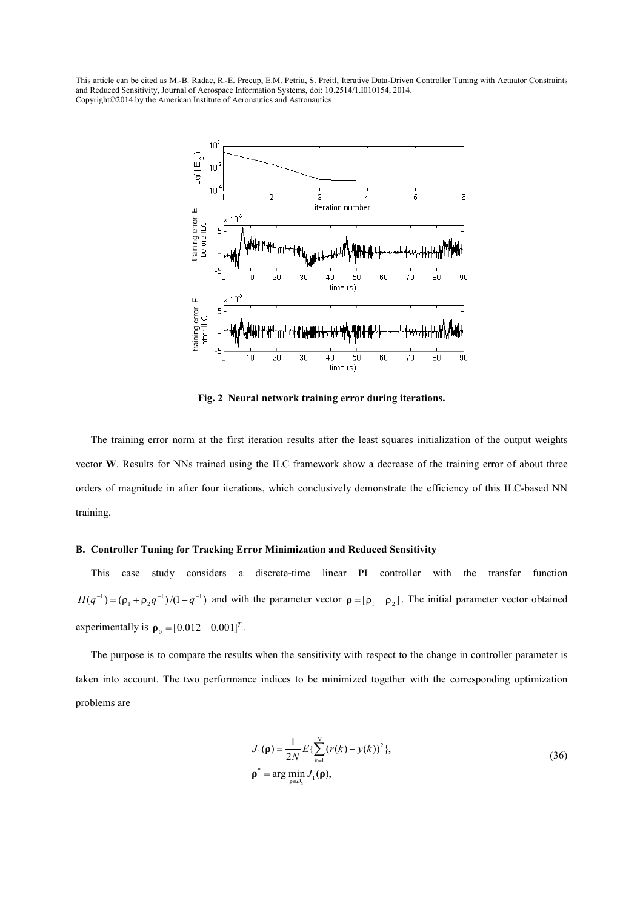

Fig. 2 Neural network training error during iterations.

The training error norm at the first iteration results after the least squares initialization of the output weights vector **W**. Results for NNs trained using the ILC framework show a decrease of the training error of about three orders of magnitude in after four iterations, which conclusively demonstrate the efficiency of this ILC-based NN training.

## **B. Controller Tuning for Tracking Error Minimization and Reduced Sensitivity**

This case study considers a discrete-time linear PI controller with the transfer function  $H(q^{-1}) = (\rho_1 + \rho_2 q^{-1})/(1 - q^{-1})$  and with the parameter vector  $\rho = [\rho_1 \rho_2]$ . The initial parameter vector obtained experimentally is  $\rho_0 = [0.012 \ 0.001]^T$ .

The purpose is to compare the results when the sensitivity with respect to the change in controller parameter is taken into account. The two performance indices to be minimized together with the corresponding optimization problems are

$$
J_1(\mathbf{p}) = \frac{1}{2N} E\{\sum_{k=1}^{N} (r(k) - y(k))^2\},\
$$
  

$$
\mathbf{p}^* = \arg\min_{\mathbf{p} \in D_S} J_1(\mathbf{p}),
$$
 (36)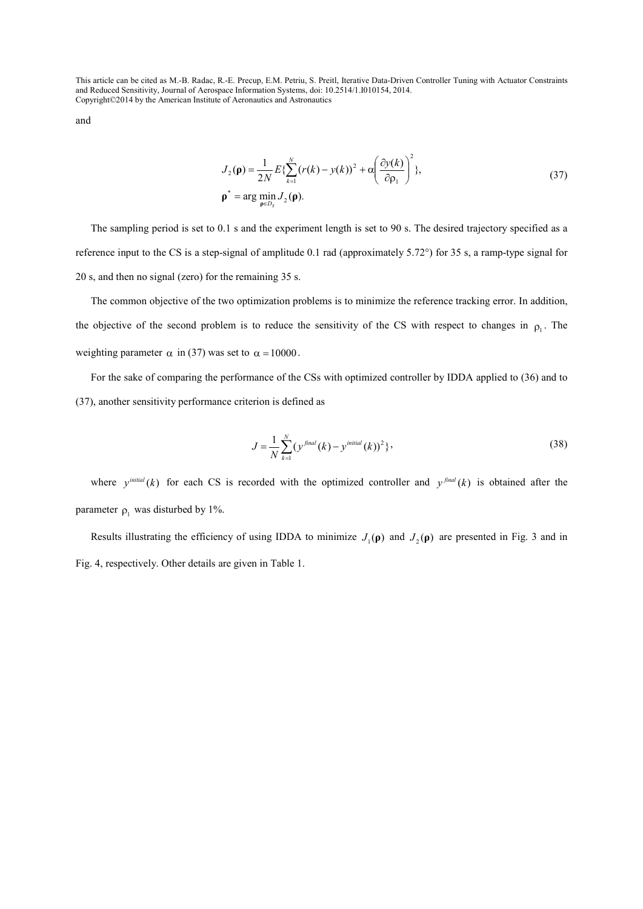and

$$
J_2(\mathbf{p}) = \frac{1}{2N} E\left\{ \sum_{k=1}^N (r(k) - y(k))^2 + \alpha \left( \frac{\partial y(k)}{\partial \rho_1} \right)^2 \right\},\
$$
  

$$
\mathbf{p}^* = \arg \min_{\mathbf{p} \in D_S} J_2(\mathbf{p}).
$$
 (37)

The sampling period is set to 0.1 s and the experiment length is set to 90 s. The desired trajectory specified as a reference input to the CS is a step-signal of amplitude 0.1 rad (approximately 5.72°) for 35 s, a ramp-type signal for 20 s, and then no signal (zero) for the remaining 35 s.

The common objective of the two optimization problems is to minimize the reference tracking error. In addition, the objective of the second problem is to reduce the sensitivity of the CS with respect to changes in  $\rho_1$ . The weighting parameter  $\alpha$  in (37) was set to  $\alpha = 10000$ .

For the sake of comparing the performance of the CSs with optimized controller by IDDA applied to (36) and to (37), another sensitivity performance criterion is defined as

$$
J = \frac{1}{N} \sum_{k=1}^{N} (y^{\text{final}}(k) - y^{\text{initial}}(k))^2 \},
$$
\n(38)

where  $y^{initial}(k)$  for each CS is recorded with the optimized controller and  $y^{final}(k)$  is obtained after the parameter  $\rho_1$  was disturbed by 1%.

Results illustrating the efficiency of using IDDA to minimize  $J_1(\rho)$  and  $J_2(\rho)$  are presented in Fig. 3 and in Fig. 4, respectively. Other details are given in Table 1.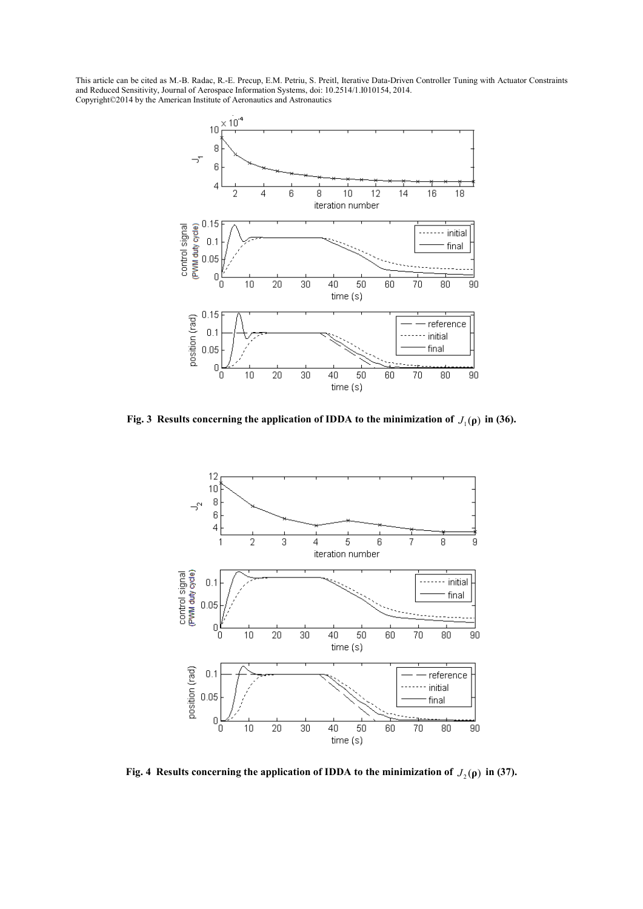

**Fig. 3 Results concerning the application of IDDA to the minimization of**  $J_1(\rho)$  **in (36).** 



**Fig. 4 Results concerning the application of IDDA to the minimization of**  $J_2(\rho)$  **in (37).**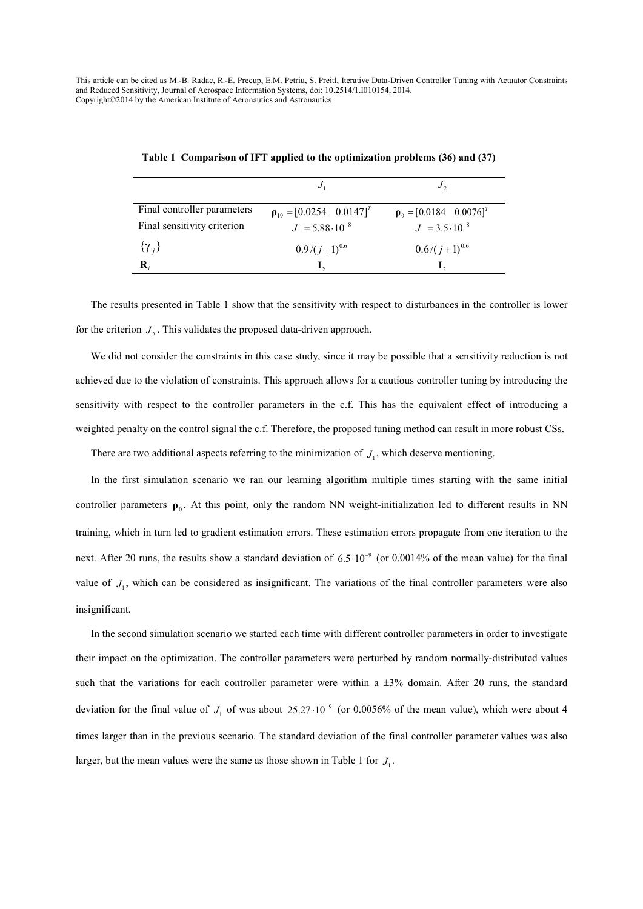| Final controller parameters | $\rho_{19} = [0.0254 \quad 0.0147]^T$ | $\rho_{9} = [0.0184 \quad 0.0076]^{T}$ |
|-----------------------------|---------------------------------------|----------------------------------------|
| Final sensitivity criterion | $J = 5.88 \cdot 10^{-8}$              | $J = 3.5 \cdot 10^{-8}$                |
| $\{\gamma_i\}$              | $0.9/(j+1)^{0.6}$                     | $0.6/(j+1)^{0.6}$                      |
| R,                          |                                       |                                        |

**Table 1 Comparison of IFT applied to the optimization problems (36) and (37)** 

The results presented in Table 1 show that the sensitivity with respect to disturbances in the controller is lower for the criterion  $J_2$ . This validates the proposed data-driven approach.

We did not consider the constraints in this case study, since it may be possible that a sensitivity reduction is not achieved due to the violation of constraints. This approach allows for a cautious controller tuning by introducing the sensitivity with respect to the controller parameters in the c.f. This has the equivalent effect of introducing a weighted penalty on the control signal the c.f. Therefore, the proposed tuning method can result in more robust CSs.

There are two additional aspects referring to the minimization of  $J<sub>1</sub>$ , which deserve mentioning.

In the first simulation scenario we ran our learning algorithm multiple times starting with the same initial controller parameters  $\rho_0$ . At this point, only the random NN weight-initialization led to different results in NN training, which in turn led to gradient estimation errors. These estimation errors propagate from one iteration to the next. After 20 runs, the results show a standard deviation of  $6.5 \cdot 10^{-9}$  (or 0.0014% of the mean value) for the final value of  $J_1$ , which can be considered as insignificant. The variations of the final controller parameters were also insignificant.

In the second simulation scenario we started each time with different controller parameters in order to investigate their impact on the optimization. The controller parameters were perturbed by random normally-distributed values such that the variations for each controller parameter were within a  $\pm 3\%$  domain. After 20 runs, the standard deviation for the final value of  $J_1$  of was about 25.27  $\cdot 10^{-9}$  (or 0.0056% of the mean value), which were about 4 times larger than in the previous scenario. The standard deviation of the final controller parameter values was also larger, but the mean values were the same as those shown in Table 1 for  $J_1$ .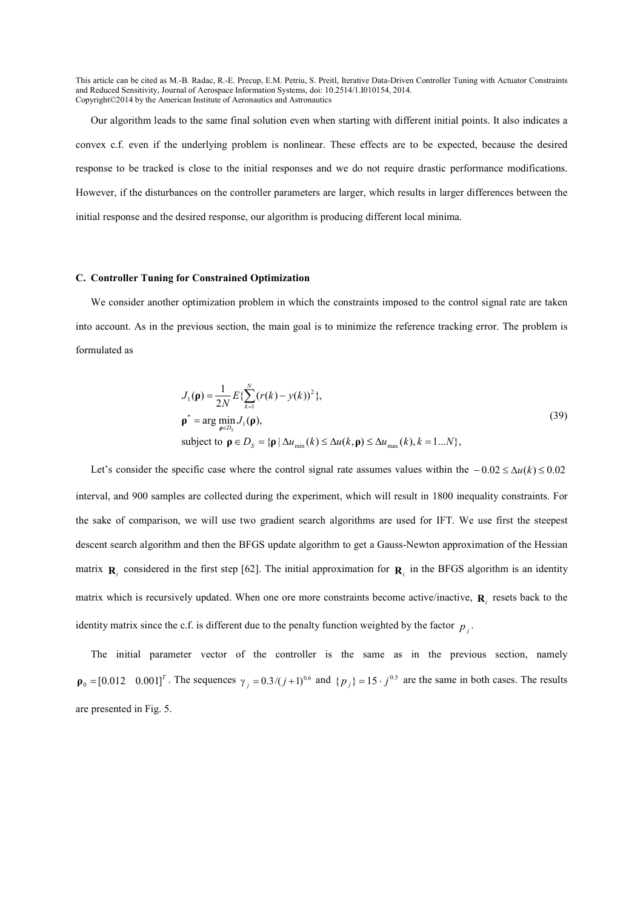Our algorithm leads to the same final solution even when starting with different initial points. It also indicates a convex c.f. even if the underlying problem is nonlinear. These effects are to be expected, because the desired response to be tracked is close to the initial responses and we do not require drastic performance modifications. However, if the disturbances on the controller parameters are larger, which results in larger differences between the initial response and the desired response, our algorithm is producing different local minima.

#### **C. Controller Tuning for Constrained Optimization**

We consider another optimization problem in which the constraints imposed to the control signal rate are taken into account. As in the previous section, the main goal is to minimize the reference tracking error. The problem is formulated as

$$
J_1(\mathbf{p}) = \frac{1}{2N} E\{\sum_{k=1}^{N} (r(k) - y(k))^2\},\
$$
  
\n
$$
\mathbf{p}^* = \arg\min_{\mathbf{p} \in D_S} J_1(\mathbf{p}),
$$
  
\nsubject to  $\mathbf{p} \in D_S = \{\mathbf{p} \mid \Delta u_{\min}(k) \le \Delta u(k, \mathbf{p}) \le \Delta u_{\max}(k), k = 1...N\},$ \n
$$
(39)
$$

Let's consider the specific case where the control signal rate assumes values within the  $-0.02 \le \Delta u(k) \le 0.02$ interval, and 900 samples are collected during the experiment, which will result in 1800 inequality constraints. For the sake of comparison, we will use two gradient search algorithms are used for IFT. We use first the steepest descent search algorithm and then the BFGS update algorithm to get a Gauss-Newton approximation of the Hessian matrix  $\mathbf{R}_i$  considered in the first step [62]. The initial approximation for  $\mathbf{R}_i$  in the BFGS algorithm is an identity matrix which is recursively updated. When one ore more constraints become active/inactive,  $\mathbf{R}_i$  resets back to the identity matrix since the c.f. is different due to the penalty function weighted by the factor  $p_j$ .

The initial parameter vector of the controller is the same as in the previous section, namely  $\mathbf{p}_0 = [0.012 \quad 0.001]^T$ . The sequences  $\gamma_j = 0.3 / (j + 1)^{0.6}$  and  $\{p_j\} = 15 \cdot j^{0.5}$  are the same in both cases. The results are presented in Fig. 5.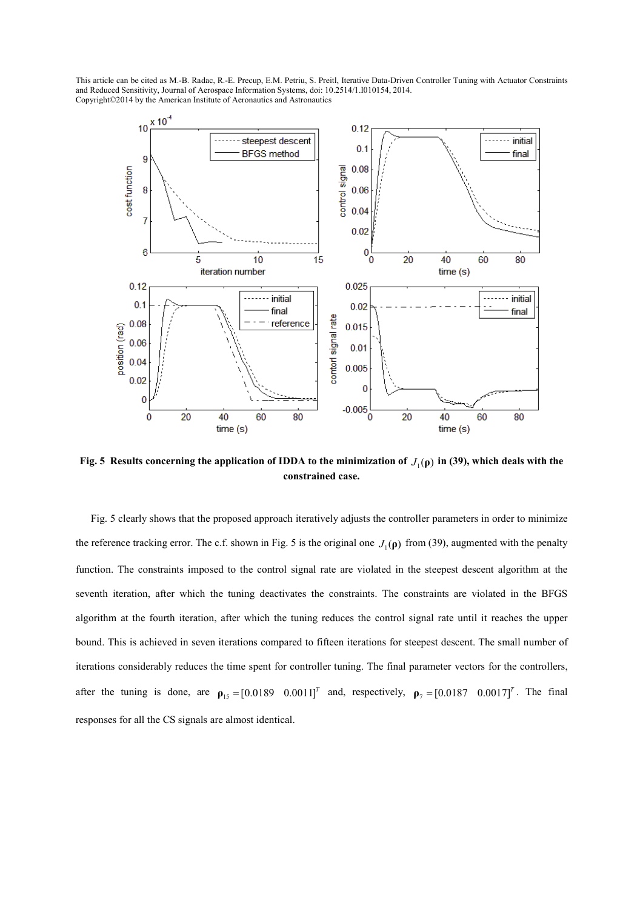

**Fig. 5 Results concerning the application of IDDA to the minimization of**  $J_1(\rho)$  **in (39), which deals with the constrained case.** 

Fig. 5 clearly shows that the proposed approach iteratively adjusts the controller parameters in order to minimize the reference tracking error. The c.f. shown in Fig. 5 is the original one  $J_1(\rho)$  from (39), augmented with the penalty function. The constraints imposed to the control signal rate are violated in the steepest descent algorithm at the seventh iteration, after which the tuning deactivates the constraints. The constraints are violated in the BFGS algorithm at the fourth iteration, after which the tuning reduces the control signal rate until it reaches the upper bound. This is achieved in seven iterations compared to fifteen iterations for steepest descent. The small number of iterations considerably reduces the time spent for controller tuning. The final parameter vectors for the controllers, after the tuning is done, are  $\rho_{15} = [0.0189 \quad 0.0011]^T$  and, respectively,  $\rho_7 = [0.0187 \quad 0.0017]^T$ . The final responses for all the CS signals are almost identical.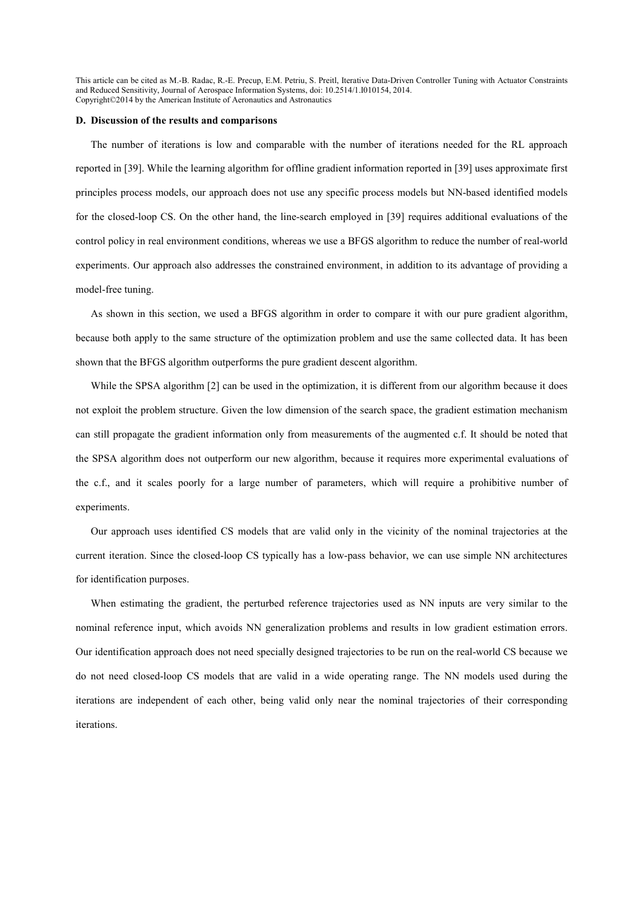#### **D. Discussion of the results and comparisons**

The number of iterations is low and comparable with the number of iterations needed for the RL approach reported in [39]. While the learning algorithm for offline gradient information reported in [39] uses approximate first principles process models, our approach does not use any specific process models but NN-based identified models for the closed-loop CS. On the other hand, the line-search employed in [39] requires additional evaluations of the control policy in real environment conditions, whereas we use a BFGS algorithm to reduce the number of real-world experiments. Our approach also addresses the constrained environment, in addition to its advantage of providing a model-free tuning.

As shown in this section, we used a BFGS algorithm in order to compare it with our pure gradient algorithm, because both apply to the same structure of the optimization problem and use the same collected data. It has been shown that the BFGS algorithm outperforms the pure gradient descent algorithm.

While the SPSA algorithm [2] can be used in the optimization, it is different from our algorithm because it does not exploit the problem structure. Given the low dimension of the search space, the gradient estimation mechanism can still propagate the gradient information only from measurements of the augmented c.f. It should be noted that the SPSA algorithm does not outperform our new algorithm, because it requires more experimental evaluations of the c.f., and it scales poorly for a large number of parameters, which will require a prohibitive number of experiments.

Our approach uses identified CS models that are valid only in the vicinity of the nominal trajectories at the current iteration. Since the closed-loop CS typically has a low-pass behavior, we can use simple NN architectures for identification purposes.

When estimating the gradient, the perturbed reference trajectories used as NN inputs are very similar to the nominal reference input, which avoids NN generalization problems and results in low gradient estimation errors. Our identification approach does not need specially designed trajectories to be run on the real-world CS because we do not need closed-loop CS models that are valid in a wide operating range. The NN models used during the iterations are independent of each other, being valid only near the nominal trajectories of their corresponding iterations.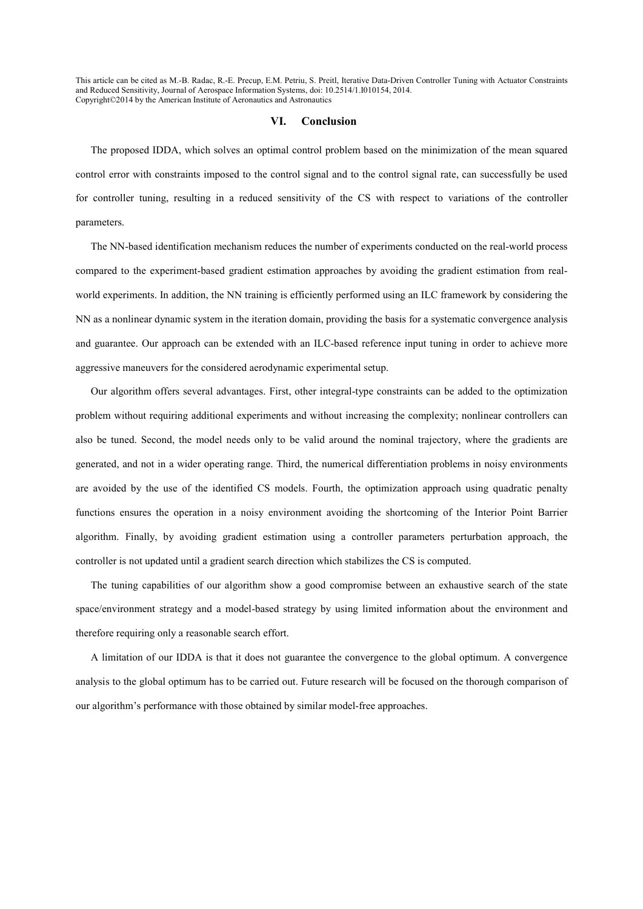#### **VI. Conclusion**

The proposed IDDA, which solves an optimal control problem based on the minimization of the mean squared control error with constraints imposed to the control signal and to the control signal rate, can successfully be used for controller tuning, resulting in a reduced sensitivity of the CS with respect to variations of the controller parameters.

The NN-based identification mechanism reduces the number of experiments conducted on the real-world process compared to the experiment-based gradient estimation approaches by avoiding the gradient estimation from realworld experiments. In addition, the NN training is efficiently performed using an ILC framework by considering the NN as a nonlinear dynamic system in the iteration domain, providing the basis for a systematic convergence analysis and guarantee. Our approach can be extended with an ILC-based reference input tuning in order to achieve more aggressive maneuvers for the considered aerodynamic experimental setup.

Our algorithm offers several advantages. First, other integral-type constraints can be added to the optimization problem without requiring additional experiments and without increasing the complexity; nonlinear controllers can also be tuned. Second, the model needs only to be valid around the nominal trajectory, where the gradients are generated, and not in a wider operating range. Third, the numerical differentiation problems in noisy environments are avoided by the use of the identified CS models. Fourth, the optimization approach using quadratic penalty functions ensures the operation in a noisy environment avoiding the shortcoming of the Interior Point Barrier algorithm. Finally, by avoiding gradient estimation using a controller parameters perturbation approach, the controller is not updated until a gradient search direction which stabilizes the CS is computed.

The tuning capabilities of our algorithm show a good compromise between an exhaustive search of the state space/environment strategy and a model-based strategy by using limited information about the environment and therefore requiring only a reasonable search effort.

A limitation of our IDDA is that it does not guarantee the convergence to the global optimum. A convergence analysis to the global optimum has to be carried out. Future research will be focused on the thorough comparison of our algorithm's performance with those obtained by similar model-free approaches.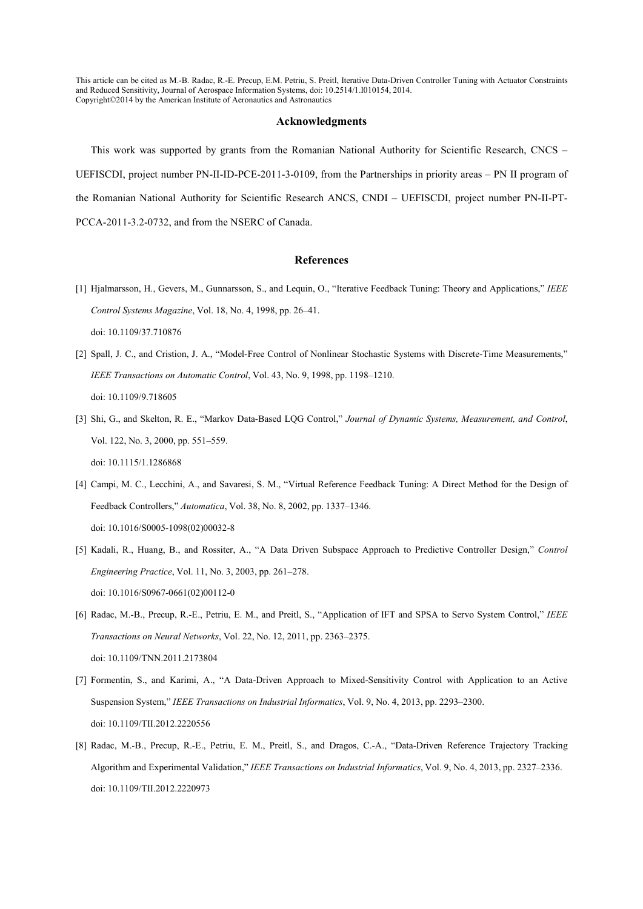#### **Acknowledgments**

This work was supported by grants from the Romanian National Authority for Scientific Research, CNCS – UEFISCDI, project number PN-II-ID-PCE-2011-3-0109, from the Partnerships in priority areas – PN II program of the Romanian National Authority for Scientific Research ANCS, CNDI – UEFISCDI, project number PN-II-PT-PCCA-2011-3.2-0732, and from the NSERC of Canada.

### **References**

[1] Hjalmarsson, H., Gevers, M., Gunnarsson, S., and Lequin, O., "Iterative Feedback Tuning: Theory and Applications," *IEEE Control Systems Magazine*, Vol. 18, No. 4, 1998, pp. 26–41. doi: 10.1109/37.710876

[2] Spall, J. C., and Cristion, J. A., "Model-Free Control of Nonlinear Stochastic Systems with Discrete-Time Measurements," *IEEE Transactions on Automatic Control*, Vol. 43, No. 9, 1998, pp. 1198–1210. doi: 10.1109/9.718605

- [3] Shi, G., and Skelton, R. E., "Markov Data-Based LQG Control," *Journal of Dynamic Systems, Measurement, and Control*, Vol. 122, No. 3, 2000, pp. 551–559. doi: 10.1115/1.1286868
- [4] Campi, M. C., Lecchini, A., and Savaresi, S. M., "Virtual Reference Feedback Tuning: A Direct Method for the Design of Feedback Controllers," *Automatica*, Vol. 38, No. 8, 2002, pp. 1337–1346. doi: 10.1016/S0005-1098(02)00032-8
- [5] Kadali, R., Huang, B., and Rossiter, A., "A Data Driven Subspace Approach to Predictive Controller Design," *Control Engineering Practice*, Vol. 11, No. 3, 2003, pp. 261–278. doi: 10.1016/S0967-0661(02)00112-0
- [6] Radac, M.-B., Precup, R.-E., Petriu, E. M., and Preitl, S., "Application of IFT and SPSA to Servo System Control," *IEEE Transactions on Neural Networks*, Vol. 22, No. 12, 2011, pp. 2363–2375. doi: 10.1109/TNN.2011.2173804
- [7] Formentin, S., and Karimi, A., "A Data-Driven Approach to Mixed-Sensitivity Control with Application to an Active Suspension System," *IEEE Transactions on Industrial Informatics*, Vol. 9, No. 4, 2013, pp. 2293–2300. doi: 10.1109/TII.2012.2220556
- [8] Radac, M.-B., Precup, R.-E., Petriu, E. M., Preitl, S., and Dragos, C.-A., "Data-Driven Reference Trajectory Tracking Algorithm and Experimental Validation," *IEEE Transactions on Industrial Informatics*, Vol. 9, No. 4, 2013, pp. 2327–2336. doi: 10.1109/TII.2012.2220973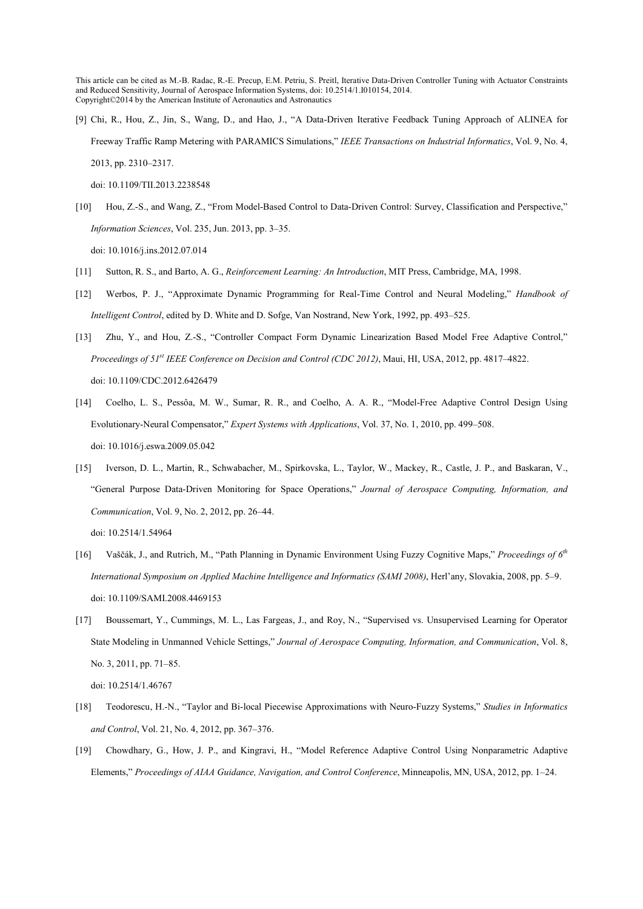[9] Chi, R., Hou, Z., Jin, S., Wang, D., and Hao, J., "A Data-Driven Iterative Feedback Tuning Approach of ALINEA for Freeway Traffic Ramp Metering with PARAMICS Simulations," *IEEE Transactions on Industrial Informatics*, Vol. 9, No. 4, 2013, pp. 2310–2317.

doi: 10.1109/TII.2013.2238548

[10] Hou, Z.-S., and Wang, Z., "From Model-Based Control to Data-Driven Control: Survey, Classification and Perspective," *Information Sciences*, Vol. 235, Jun. 2013, pp. 3–35.

doi: 10.1016/j.ins.2012.07.014

- [11] Sutton, R. S., and Barto, A. G., *Reinforcement Learning: An Introduction*, MIT Press, Cambridge, MA, 1998.
- [12] Werbos, P. J., "Approximate Dynamic Programming for Real-Time Control and Neural Modeling," *Handbook of Intelligent Control*, edited by D. White and D. Sofge, Van Nostrand, New York, 1992, pp. 493–525.
- [13] Zhu, Y., and Hou, Z.-S., "Controller Compact Form Dynamic Linearization Based Model Free Adaptive Control," *Proceedings of 51st IEEE Conference on Decision and Control (CDC 2012)*, Maui, HI, USA, 2012, pp. 4817–4822. doi: 10.1109/CDC.2012.6426479
- [14] Coelho, L. S., Pessôa, M. W., Sumar, R. R., and Coelho, A. A. R., "Model-Free Adaptive Control Design Using Evolutionary-Neural Compensator," *Expert Systems with Applications*, Vol. 37, No. 1, 2010, pp. 499–508. doi: 10.1016/j.eswa.2009.05.042
- [15] Iverson, D. L., Martin, R., Schwabacher, M., Spirkovska, L., Taylor, W., Mackey, R., Castle, J. P., and Baskaran, V., "General Purpose Data-Driven Monitoring for Space Operations," *Journal of Aerospace Computing, Information, and Communication*, Vol. 9, No. 2, 2012, pp. 26–44.

doi: 10.2514/1.54964

- [16] Vaščák, J., and Rutrich, M., "Path Planning in Dynamic Environment Using Fuzzy Cognitive Maps," *Proceedings of 6th International Symposium on Applied Machine Intelligence and Informatics (SAMI 2008)*, Herl'any, Slovakia, 2008, pp. 5–9. doi: 10.1109/SAMI.2008.4469153
- [17] Boussemart, Y., Cummings, M. L., Las Fargeas, J., and Roy, N., "Supervised vs. Unsupervised Learning for Operator State Modeling in Unmanned Vehicle Settings," *Journal of Aerospace Computing, Information, and Communication*, Vol. 8, No. 3, 2011, pp. 71–85.

doi: 10.2514/1.46767

- [18] Teodorescu, H.-N., "Taylor and Bi-local Piecewise Approximations with Neuro-Fuzzy Systems," *Studies in Informatics and Control*, Vol. 21, No. 4, 2012, pp. 367–376.
- [19] Chowdhary, G., How, J. P., and Kingravi, H., "Model Reference Adaptive Control Using Nonparametric Adaptive Elements," Proceedings of AIAA Guidance, Navigation, and Control Conference, Minneapolis, MN, USA, 2012, pp. 1-24.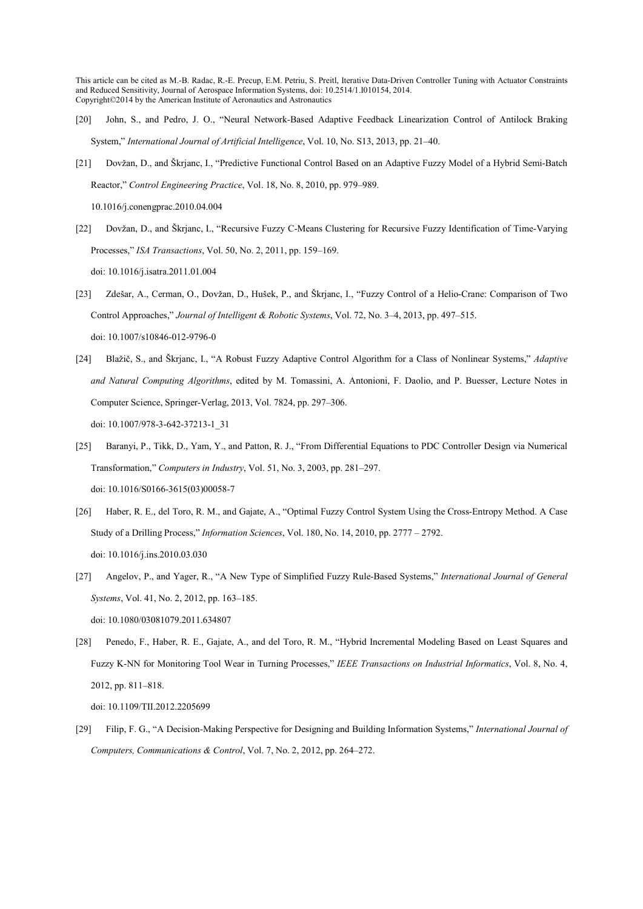- [20] John, S., and Pedro, J. O., "Neural Network-Based Adaptive Feedback Linearization Control of Antilock Braking System," *International Journal of Artificial Intelligence*, Vol. 10, No. S13, 2013, pp. 21–40.
- [21] Dovžan, D., and Škrjanc, I., "Predictive Functional Control Based on an Adaptive Fuzzy Model of a Hybrid Semi-Batch Reactor," *Control Engineering Practice*, Vol. 18, No. 8, 2010, pp. 979–989.

10.1016/j.conengprac.2010.04.004

- [22] Dovžan, D., and Škrjanc, I., "Recursive Fuzzy C-Means Clustering for Recursive Fuzzy Identification of Time-Varying Processes," *ISA Transactions*, Vol. 50, No. 2, 2011, pp. 159–169. doi: 10.1016/j.isatra.2011.01.004
- [23] Zdešar, A., Cerman, O., Dovžan, D., Hušek, P., and Škrjanc, I., "Fuzzy Control of a Helio-Crane: Comparison of Two Control Approaches," *Journal of Intelligent & Robotic Systems*, Vol. 72, No. 3–4, 2013, pp. 497–515. doi: 10.1007/s10846-012-9796-0
- [24] Blažič, S., and Škrjanc, I., "A Robust Fuzzy Adaptive Control Algorithm for a Class of Nonlinear Systems," *Adaptive and atural Computing Algorithms*, edited by M. Tomassini, A. Antonioni, F. Daolio, and P. Buesser, Lecture Notes in Computer Science, Springer-Verlag, 2013, Vol. 7824, pp. 297–306. doi: 10.1007/978-3-642-37213-1\_31
- [25] Baranyi, P., Tikk, D., Yam, Y., and Patton, R. J., "From Differential Equations to PDC Controller Design via Numerical Transformation," *Computers in Industry*, Vol. 51, No. 3, 2003, pp. 281–297. doi: 10.1016/S0166-3615(03)00058-7
- [26] Haber, R. E., del Toro, R. M., and Gajate, A., "Optimal Fuzzy Control System Using the Cross-Entropy Method. A Case Study of a Drilling Process," *Information Sciences*, Vol. 180, No. 14, 2010, pp. 2777 – 2792. doi: 10.1016/j.ins.2010.03.030
- [27] Angelov, P., and Yager, R., "A New Type of Simplified Fuzzy Rule-Based Systems," *International Journal of General Systems*, Vol. 41, No. 2, 2012, pp. 163–185. doi: 10.1080/03081079.2011.634807
- [28] Penedo, F., Haber, R. E., Gajate, A., and del Toro, R. M., "Hybrid Incremental Modeling Based on Least Squares and Fuzzy K-NN for Monitoring Tool Wear in Turning Processes," *IEEE Transactions on Industrial Informatics*, Vol. 8, No. 4, 2012, pp. 811–818.

doi: 10.1109/TII.2012.2205699

[29] Filip, F. G., "A Decision-Making Perspective for Designing and Building Information Systems," *International Journal of Computers, Communications & Control*, Vol. 7, No. 2, 2012, pp. 264–272.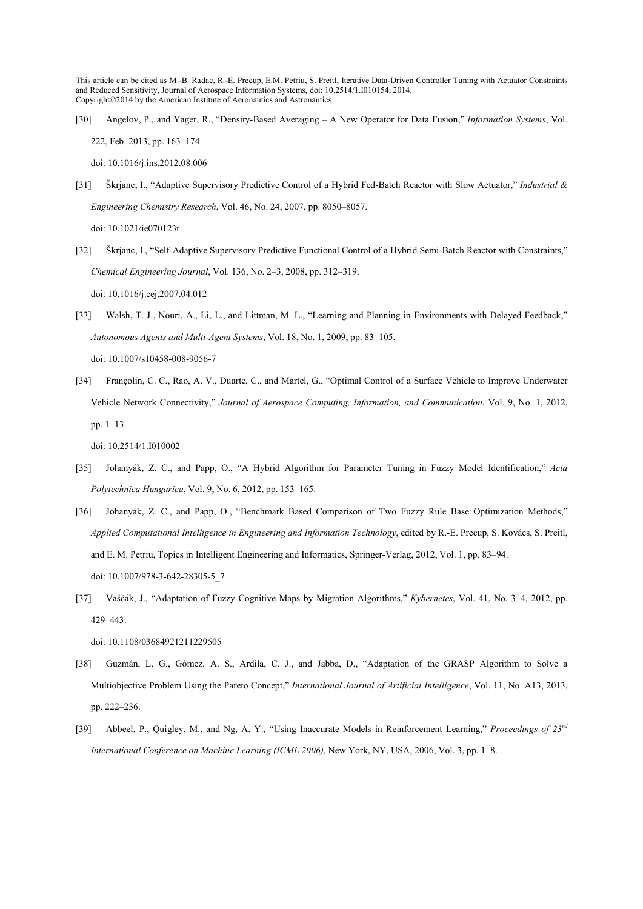[30] Angelov, P., and Yager, R., "Density-Based Averaging – A New Operator for Data Fusion," *Information Systems*, Vol. 222, Feb. 2013, pp. 163–174.

doi: 10.1016/j.ins.2012.08.006

- [31] Škrjanc, I., "Adaptive Supervisory Predictive Control of a Hybrid Fed-Batch Reactor with Slow Actuator," *Industrial & Engineering Chemistry Research*, Vol. 46, No. 24, 2007, pp. 8050–8057. doi: 10.1021/ie070123t
- [32] Škrjanc, I., "Self-Adaptive Supervisory Predictive Functional Control of a Hybrid Semi-Batch Reactor with Constraints," *Chemical Engineering Journal*, Vol. 136, No. 2–3, 2008, pp. 312–319. doi: 10.1016/j.cej.2007.04.012
- [33] Walsh, T. J., Nouri, A., Li, L., and Littman, M. L., "Learning and Planning in Environments with Delayed Feedback," *Autonomous Agents and Multi-Agent Systems*, Vol. 18, No. 1, 2009, pp. 83–105. doi: 10.1007/s10458-008-9056-7
- [34] Françolin, C. C., Rao, A. V., Duarte, C., and Martel, G., "Optimal Control of a Surface Vehicle to Improve Underwater Vehicle Network Connectivity," *Journal of Aerospace Computing, Information, and Communication*, Vol. 9, No. 1, 2012, pp. 1–13.

doi: 10.2514/1.I010002

- [35] Johanyák, Z. C., and Papp, O., "A Hybrid Algorithm for Parameter Tuning in Fuzzy Model Identification," *Acta Polytechnica Hungarica*, Vol. 9, No. 6, 2012, pp. 153–165.
- [36] Johanyák, Z. C., and Papp, O., "Benchmark Based Comparison of Two Fuzzy Rule Base Optimization Methods," *Applied Computational Intelligence in Engineering and Information Technology*, edited by R.-E. Precup, S. Kovács, S. Preitl, and E. M. Petriu, Topics in Intelligent Engineering and Informatics, Springer-Verlag, 2012, Vol. 1, pp. 83–94. doi: 10.1007/978-3-642-28305-5\_7
- [37] Vaščák, J., "Adaptation of Fuzzy Cognitive Maps by Migration Algorithms," *Kybernetes*, Vol. 41, No. 3–4, 2012, pp. 429–443.

doi: 10.1108/03684921211229505

- [38] Guzmán, L. G., Gómez, A. S., Ardila, C. J., and Jabba, D., "Adaptation of the GRASP Algorithm to Solve a Multiobjective Problem Using the Pareto Concept," *International Journal of Artificial Intelligence*, Vol. 11, No. A13, 2013, pp. 222–236.
- [39] Abbeel, P., Quigley, M., and Ng, A. Y., "Using Inaccurate Models in Reinforcement Learning," *Proceedings of 23rd International Conference on Machine Learning (ICML 2006)*, New York, NY, USA, 2006, Vol. 3, pp. 1–8.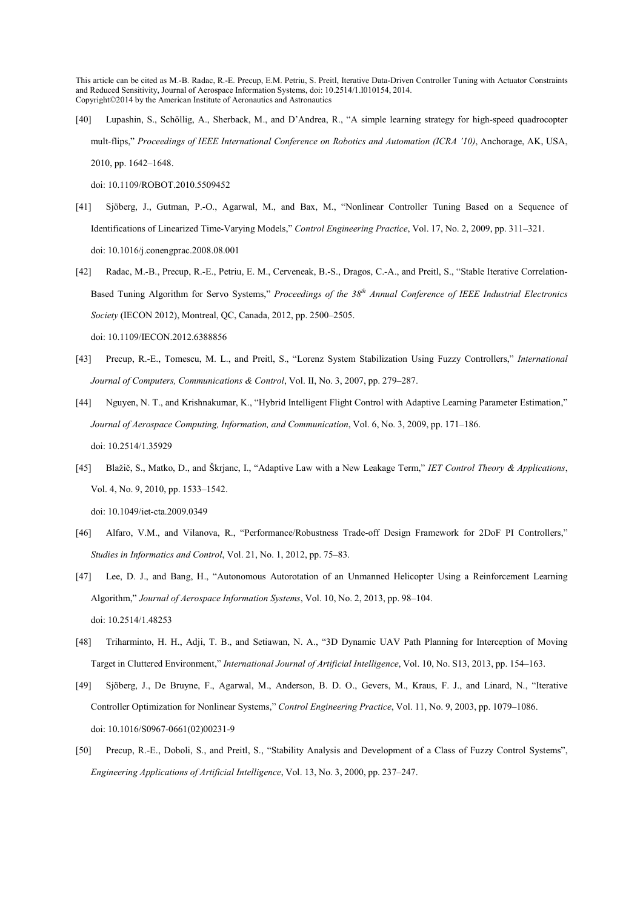[40] Lupashin, S., Schöllig, A., Sherback, M., and D'Andrea, R., "A simple learning strategy for high-speed quadrocopter mult-flips," *Proceedings of IEEE International Conference on Robotics and Automation (ICRA '10)*, Anchorage, AK, USA, 2010, pp. 1642–1648.

doi: 10.1109/ROBOT.2010.5509452

- [41] Sjöberg, J., Gutman, P.-O., Agarwal, M., and Bax, M., "Nonlinear Controller Tuning Based on a Sequence of Identifications of Linearized Time-Varying Models," *Control Engineering Practice*, Vol. 17, No. 2, 2009, pp. 311–321. doi: 10.1016/j.conengprac.2008.08.001
- [42] Radac, M.-B., Precup, R.-E., Petriu, E. M., Cerveneak, B.-S., Dragos, C.-A., and Preitl, S., "Stable Iterative Correlation-Based Tuning Algorithm for Servo Systems," *Proceedings of the 38th Annual Conference of IEEE Industrial Electronics Society* (IECON 2012), Montreal, QC, Canada, 2012, pp. 2500–2505. doi: 10.1109/IECON.2012.6388856
- [43] Precup, R.-E., Tomescu, M. L., and Preitl, S., "Lorenz System Stabilization Using Fuzzy Controllers," *International Journal of Computers, Communications & Control*, Vol. II, No. 3, 2007, pp. 279–287.
- [44] Nguyen, N. T., and Krishnakumar, K., "Hybrid Intelligent Flight Control with Adaptive Learning Parameter Estimation," *Journal of Aerospace Computing, Information, and Communication*, Vol. 6, No. 3, 2009, pp. 171–186. doi: 10.2514/1.35929
- [45] Blažič, S., Matko, D., and Škrjanc, I., "Adaptive Law with a New Leakage Term," *IET Control Theory & Applications*, Vol. 4, No. 9, 2010, pp. 1533–1542. doi: 10.1049/iet-cta.2009.0349
- [46] Alfaro, V.M., and Vilanova, R., "Performance/Robustness Trade-off Design Framework for 2DoF PI Controllers," *Studies in Informatics and Control*, Vol. 21, No. 1, 2012, pp. 75–83.
- [47] Lee, D. J., and Bang, H., "Autonomous Autorotation of an Unmanned Helicopter Using a Reinforcement Learning Algorithm," *Journal of Aerospace Information Systems*, Vol. 10, No. 2, 2013, pp. 98–104. doi: 10.2514/1.48253
- [48] Triharminto, H. H., Adji, T. B., and Setiawan, N. A., "3D Dynamic UAV Path Planning for Interception of Moving Target in Cluttered Environment," *International Journal of Artificial Intelligence*, Vol. 10, No. S13, 2013, pp. 154–163.
- [49] Sjöberg, J., De Bruyne, F., Agarwal, M., Anderson, B. D. O., Gevers, M., Kraus, F. J., and Linard, N., "Iterative Controller Optimization for Nonlinear Systems," *Control Engineering Practice*, Vol. 11, No. 9, 2003, pp. 1079–1086. doi: 10.1016/S0967-0661(02)00231-9
- [50] Precup, R.-E., Doboli, S., and Preitl, S., "Stability Analysis and Development of a Class of Fuzzy Control Systems", *Engineering Applications of Artificial Intelligence*, Vol. 13, No. 3, 2000, pp. 237–247.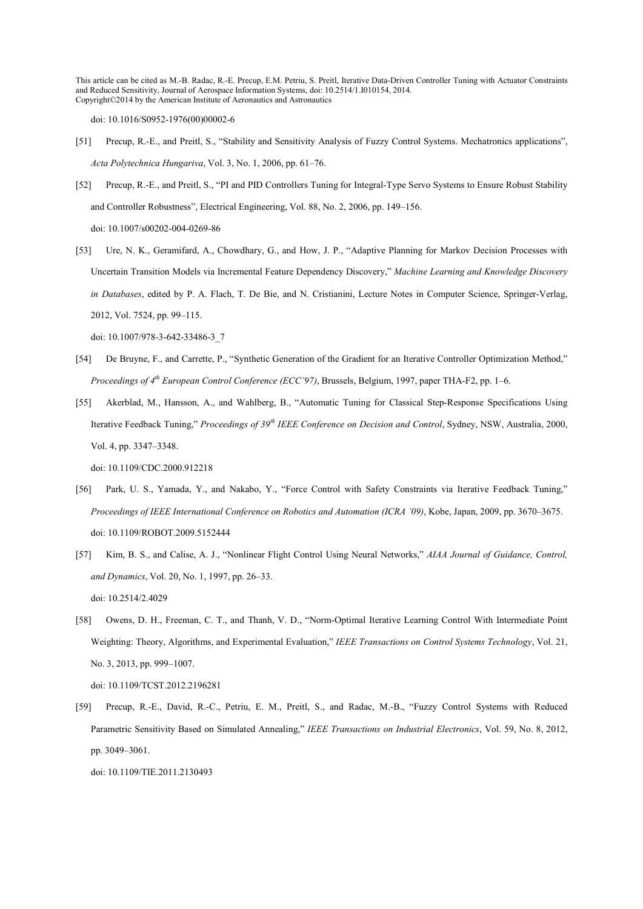doi: 10.1016/S0952-1976(00)00002-6

- [51] Precup, R.-E., and Preitl, S., "Stability and Sensitivity Analysis of Fuzzy Control Systems. Mechatronics applications", *Acta Polytechnica Hungariva*, Vol. 3, No. 1, 2006, pp. 61–76.
- [52] Precup, R.-E., and Preitl, S., "PI and PID Controllers Tuning for Integral-Type Servo Systems to Ensure Robust Stability and Controller Robustness", Electrical Engineering, Vol. 88, No. 2, 2006, pp. 149–156.

doi: 10.1007/s00202-004-0269-86

[53] Ure, N. K., Geramifard, A., Chowdhary, G., and How, J. P., "Adaptive Planning for Markov Decision Processes with Uncertain Transition Models via Incremental Feature Dependency Discovery," *Machine Learning and Knowledge Discovery in Databases*, edited by P. A. Flach, T. De Bie, and N. Cristianini, Lecture Notes in Computer Science, Springer-Verlag, 2012, Vol. 7524, pp. 99–115.

doi: 10.1007/978-3-642-33486-3\_7

- [54] De Bruyne, F., and Carrette, P., "Synthetic Generation of the Gradient for an Iterative Controller Optimization Method," *Proceedings of 4th European Control Conference (ECC'97)*, Brussels, Belgium, 1997, paper THA-F2, pp. 1–6.
- [55] Akerblad, M., Hansson, A., and Wahlberg, B., "Automatic Tuning for Classical Step-Response Specifications Using Iterative Feedback Tuning," *Proceedings of 39th IEEE Conference on Decision and Control*, Sydney, NSW, Australia, 2000, Vol. 4, pp. 3347–3348.

doi: 10.1109/CDC.2000.912218

- [56] Park, U. S., Yamada, Y., and Nakabo, Y., "Force Control with Safety Constraints via Iterative Feedback Tuning," *Proceedings of IEEE International Conference on Robotics and Automation (ICRA '09)*, Kobe, Japan, 2009, pp. 3670–3675. doi: 10.1109/ROBOT.2009.5152444
- [57] Kim, B. S., and Calise, A. J., "Nonlinear Flight Control Using Neural Networks," *AIAA Journal of Guidance, Control, and Dynamics*, Vol. 20, No. 1, 1997, pp. 26–33. doi: 10.2514/2.4029
- [58] Owens, D. H., Freeman, C. T., and Thanh, V. D., "Norm-Optimal Iterative Learning Control With Intermediate Point Weighting: Theory, Algorithms, and Experimental Evaluation," *IEEE Transactions on Control Systems Technology*, Vol. 21, No. 3, 2013, pp. 999–1007.

doi: 10.1109/TCST.2012.2196281

[59] Precup, R.-E., David, R.-C., Petriu, E. M., Preitl, S., and Radac, M.-B., "Fuzzy Control Systems with Reduced Parametric Sensitivity Based on Simulated Annealing," *IEEE Transactions on Industrial Electronics*, Vol. 59, No. 8, 2012, pp. 3049–3061.

doi: 10.1109/TIE.2011.2130493